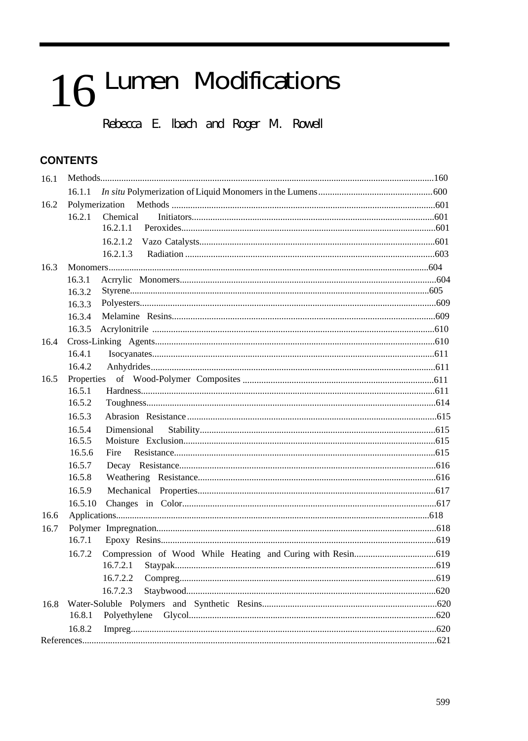# 16 Lumen Modifications

Rebecca E. Ibach and Roger M. Rowell

## **CONTENTS**

| 16.1 |                       |  |  |  |  |  |
|------|-----------------------|--|--|--|--|--|
|      | 16.1.1                |  |  |  |  |  |
| 16.2 | Polymerization        |  |  |  |  |  |
|      | 16.2.1<br>Chemical    |  |  |  |  |  |
|      | 16.2.1.1              |  |  |  |  |  |
|      |                       |  |  |  |  |  |
|      |                       |  |  |  |  |  |
| 16.3 |                       |  |  |  |  |  |
|      | 16.3.1                |  |  |  |  |  |
|      | 16.3.2                |  |  |  |  |  |
|      | 16.3.3                |  |  |  |  |  |
|      | 16.3.4                |  |  |  |  |  |
|      | 16.3.5                |  |  |  |  |  |
| 16.4 |                       |  |  |  |  |  |
|      | 16.4.1                |  |  |  |  |  |
|      | 16.4.2                |  |  |  |  |  |
| 16.5 |                       |  |  |  |  |  |
|      | 16.5.1                |  |  |  |  |  |
|      | 16.5.2                |  |  |  |  |  |
|      | 16.5.3                |  |  |  |  |  |
|      | 16.5.4<br>Dimensional |  |  |  |  |  |
|      | 16.5.5                |  |  |  |  |  |
|      | 16.5.6<br>Fire        |  |  |  |  |  |
|      | 16.5.7                |  |  |  |  |  |
|      | 16.5.8                |  |  |  |  |  |
|      | 16.5.9                |  |  |  |  |  |
|      | 16.5.10               |  |  |  |  |  |
| 16.6 |                       |  |  |  |  |  |
| 16.7 |                       |  |  |  |  |  |
|      | 16.7.1                |  |  |  |  |  |
|      | 16.7.2<br>16.7.2.1    |  |  |  |  |  |
|      | 16.7.2.2              |  |  |  |  |  |
|      | 16.7.2.3              |  |  |  |  |  |
|      |                       |  |  |  |  |  |
| 16.8 | 16.8.1                |  |  |  |  |  |
|      | 16.8.2                |  |  |  |  |  |
|      |                       |  |  |  |  |  |
|      |                       |  |  |  |  |  |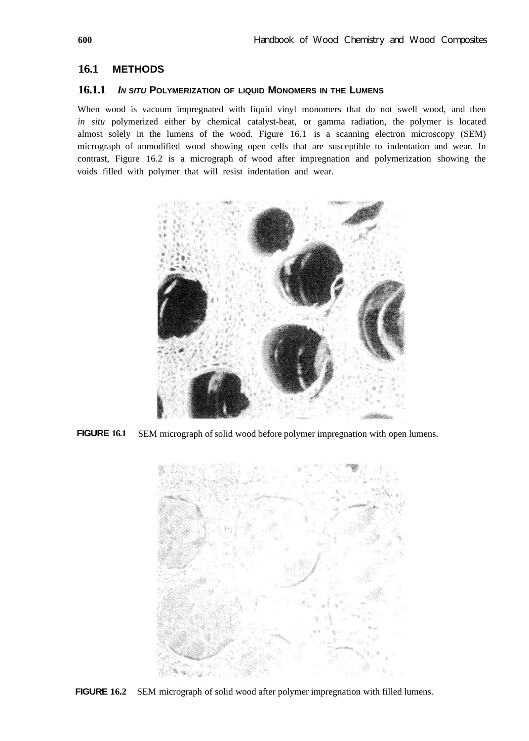### <span id="page-1-0"></span>**16.1 METHODS**

#### **16.1.1** *IN SITU* **POLYMERIZATION OF LIQUID MONOMERS IN THE LUMENS**

When wood is vacuum impregnated with liquid vinyl monomers that do not swell wood, and then *in situ* polymerized either by chemical catalyst-heat, or gamma radiation, the polymer is located almost solely in the lumens of the wood. Figure 16.1 is a scanning electron microscopy (SEM) micrograph of unmodified wood showing open cells that are susceptible to indentation and wear. In contrast, Figure 16.2 is a micrograph of wood after impregnation and polymerization showing the voids filled with polymer that will resist indentation and wear.



**FIGURE 16.1** SEM micrograph of solid wood before polymer impregnation with open lumens.

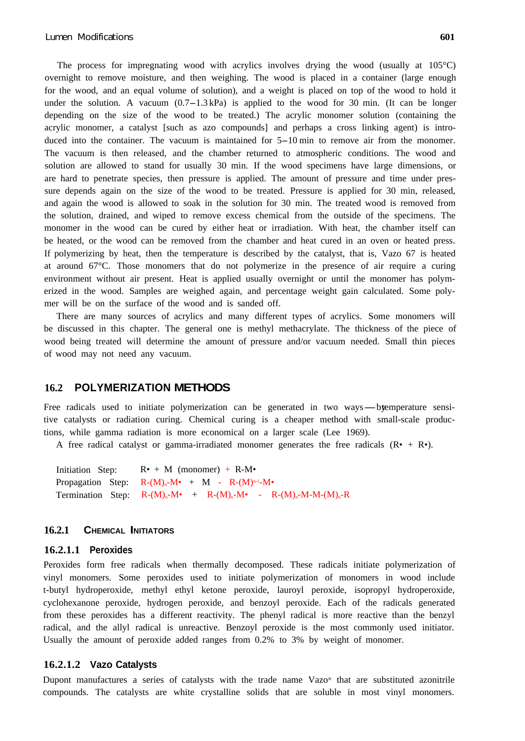<span id="page-2-0"></span>The process for impregnating wood with acrylics involves drying the wood (usually at 105°C) overnight to remove moisture, and then weighing. The wood is placed in a container (large enough for the wood, and an equal volume of solution), and a weight is placed on top of the wood to hold it under the solution. A vacuum  $(0.7-1.3 \text{ kPa})$  is applied to the wood for 30 min. (It can be longer depending on the size of the wood to be treated.) The acrylic monomer solution (containing the acrylic monomer, a catalyst [such as azo compounds] and perhaps a cross linking agent) is introduced into the container. The vacuum is maintained for 5-10 min to remove air from the monomer. The vacuum is then released, and the chamber returned to atmospheric conditions. The wood and solution are allowed to stand for usually 30 min. If the wood specimens have large dimensions, or are hard to penetrate species, then pressure is applied. The amount of pressure and time under pressure depends again on the size of the wood to be treated. Pressure is applied for 30 min, released, and again the wood is allowed to soak in the solution for 30 min. The treated wood is removed from the solution, drained, and wiped to remove excess chemical from the outside of the specimens. The monomer in the wood can be cured by either heat or irradiation. With heat, the chamber itself can be heated, or the wood can be removed from the chamber and heat cured in an oven or heated press. If polymerizing by heat, then the temperature is described by the catalyst, that is, Vazo 67 is heated at around 67°C. Those monomers that do not polymerize in the presence of air require a curing environment without air present. Heat is applied usually overnight or until the monomer has polymerized in the wood. Samples are weighed again, and percentage weight gain calculated. Some polymer will be on the surface of the wood and is sanded off.

There are many sources of acrylics and many different types of acrylics. Some monomers will be discussed in this chapter. The general one is methyl methacrylate. The thickness of the piece of wood being treated will determine the amount of pressure and/or vacuum needed. Small thin pieces of wood may not need any vacuum.

#### **16.2 POLYMERIZATION METHODS**

Free radicals used to initiate polymerization can be generated in two ways—bremperature sensitive catalysts or radiation curing. Chemical curing is a cheaper method with small-scale productions, while gamma radiation is more economical on a larger scale (Lee 1969).

A free radical catalyst or gamma-irradiated monomer generates the free radicals  $(\mathbb{R}^* + \mathbb{R}^*)$ .

Initiation Step:  $R \cdot + M$  (monomer) +  $R-M \cdot$ Propagation Step:  $R-(M)_{n}-M$  +  $M - R-(M)_{n-1}-M$ Termination Step:  $R-(M)_{n}-M$  +  $R-(M)_{n}-M$  -  $R-(M)_{n}-M-M-(M)_{n}-R$ 

#### **16.2.1 CHEMICAL INITIATORS**

#### **16.2.1.1 Peroxides**

Peroxides form free radicals when thermally decomposed. These radicals initiate polymerization of vinyl monomers. Some peroxides used to initiate polymerization of monomers in wood include t-butyl hydroperoxide, methyl ethyl ketone peroxide, lauroyl peroxide, isopropyl hydroperoxide, cyclohexanone peroxide, hydrogen peroxide, and benzoyl peroxide. Each of the radicals generated from these peroxides has a different reactivity. The phenyl radical is more reactive than the benzyl radical, and the allyl radical is unreactive. Benzoyl peroxide is the most commonly used initiator. Usually the amount of peroxide added ranges from 0.2% to 3% by weight of monomer.

#### **16.2.1.2 Vazo Catalysts**

Dupont manufactures a series of catalysts with the trade name Vazo® that are substituted azonitrile compounds. The catalysts are white crystalline solids that are soluble in most vinyl monomers.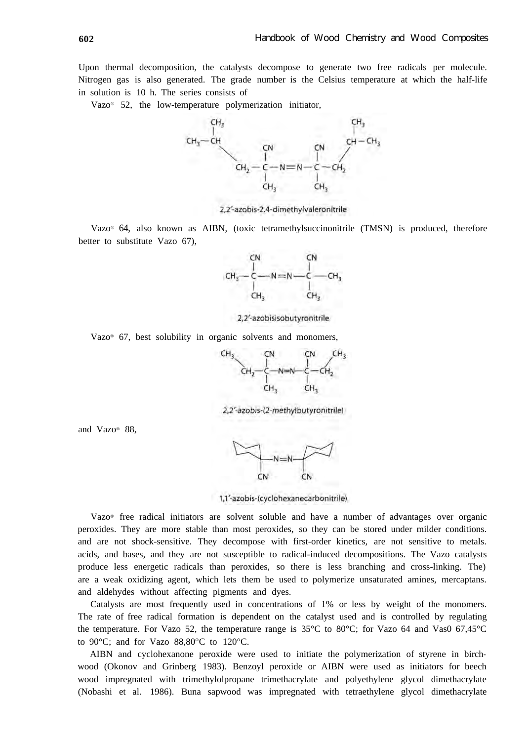Upon thermal decomposition, the catalysts decompose to generate two free radicals per molecule. Nitrogen gas is also generated. The grade number is the Celsius temperature at which the half-life in solution is 10 h. The series consists of

Vazo® 52, the low-temperature polymerization initiator,



2,2'-azobis-2,4-dimethylvaleronitrile

Vazo® 64, also known as AIBN, (toxic tetramethylsuccinonitrile (TMSN) is produced, therefore better to substitute Vazo 67),

$$
CH_3-CN = N = N-CH_3
$$
\n
$$
CH_3-CH_3
$$
\n
$$
CH_3
$$
\n
$$
CH_3
$$
\n
$$
CH_3
$$

2,2'-azobisisobutyronitrile

Vazo® 67, best solubility in organic solvents and monomers,



2,2'-azobis-(2-methylbutyronitrile)

and Vazo® 88,



1,1'-azobis-(cyclohexanecarbonitrile)

Vazo® free radical initiators are solvent soluble and have a number of advantages over organic peroxides. They are more stable than most peroxides, so they can be stored under milder conditions. and are not shock-sensitive. They decompose with first-order kinetics, are not sensitive to metals. acids, and bases, and they are not susceptible to radical-induced decompositions. The Vazo catalysts produce less energetic radicals than peroxides, so there is less branching and cross-linking. The) are a weak oxidizing agent, which lets them be used to polymerize unsaturated amines, mercaptans. and aldehydes without affecting pigments and dyes.

Catalysts are most frequently used in concentrations of 1% or less by weight of the monomers. The rate of free radical formation is dependent on the catalyst used and is controlled by regulating the temperature. For Vazo 52, the temperature range is  $35^{\circ}$ C to  $80^{\circ}$ C; for Vazo 64 and Vas0 67,45<sup>°</sup>C to 90°C; and for Vazo 88,80°C to 120°C.

AIBN and cyclohexanone peroxide were used to initiate the polymerization of styrene in birchwood (Okonov and Grinberg 1983). Benzoyl peroxide or AIBN were used as initiators for beech wood impregnated with trimethylolpropane trimethacrylate and polyethylene glycol dimethacrylate (Nobashi et al. 1986). Buna sapwood was impregnated with tetraethylene glycol dimethacrylate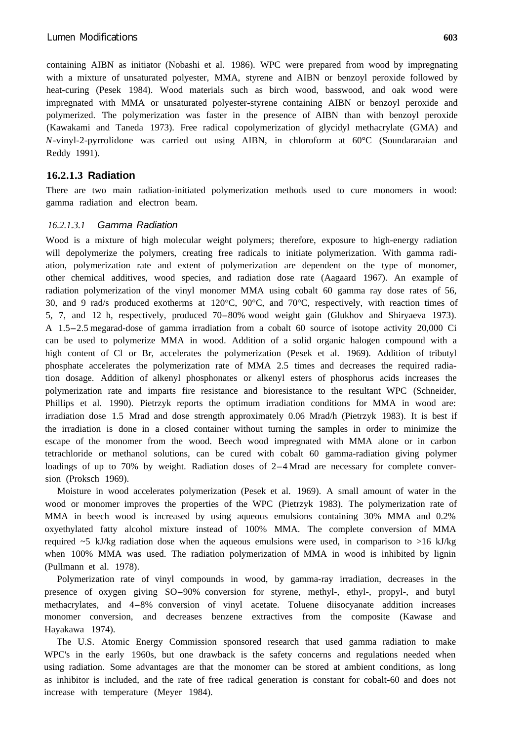<span id="page-4-0"></span>containing AIBN as initiator (Nobashi et al. 1986). WPC were prepared from wood by impregnating with a mixture of unsaturated polyester, MMA, styrene and AIBN or benzoyl peroxide followed by heat-curing (Pesek 1984). Wood materials such as birch wood, basswood, and oak wood were impregnated with MMA or unsaturated polyester-styrene containing AIBN or benzoyl peroxide and polymerized. The polymerization was faster in the presence of AIBN than with benzoyl peroxide (Kawakami and Taneda 1973). Free radical copolymerization of glycidyl methacrylate (GMA) and *N*-vinyl-2-pyrrolidone was carried out using AIBN, in chloroform at 60°C (Soundararaian and Reddy 1991).

#### **16.2.1.3 Radiation**

There are two main radiation-initiated polymerization methods used to cure monomers in wood: gamma radiation and electron beam.

#### *16.2.1.3.1 Gamma Radiation*

Wood is a mixture of high molecular weight polymers; therefore, exposure to high-energy radiation will depolymerize the polymers, creating free radicals to initiate polymerization. With gamma radiation, polymerization rate and extent of polymerization are dependent on the type of monomer, other chemical additives, wood species, and radiation dose rate (Aagaard 1967). An example of radiation polymerization of the vinyl monomer MMA using cobalt 60 gamma ray dose rates of 56, 30, and 9 rad/s produced exotherms at 120°C, 90°C, and 70°C, respectively, with reaction times of 5, 7, and 12 h, respectively, produced 70-80% wood weight gain (Glukhov and Shiryaeva 1973). A 1.5-2.5 megarad-dose of gamma irradiation from a cobalt 60 source of isotope activity 20,000 Ci can be used to polymerize MMA in wood. Addition of a solid organic halogen compound with a high content of Cl or Br, accelerates the polymerization (Pesek et al. 1969). Addition of tributyl phosphate accelerates the polymerization rate of MMA 2.5 times and decreases the required radiation dosage. Addition of alkenyl phosphonates or alkenyl esters of phosphorus acids increases the polymerization rate and imparts fire resistance and bioresistance to the resultant WPC (Schneider, Phillips et al. 1990). Pietrzyk reports the optimum irradiation conditions for MMA in wood are: irradiation dose 1.5 Mrad and dose strength approximately 0.06 Mrad/h (Pietrzyk 1983). It is best if the irradiation is done in a closed container without turning the samples in order to minimize the escape of the monomer from the wood. Beech wood impregnated with MMA alone or in carbon tetrachloride or methanol solutions, can be cured with cobalt 60 gamma-radiation giving polymer loadings of up to 70% by weight. Radiation doses of 2–4 Mrad are necessary for complete conversion (Proksch 1969).

Moisture in wood accelerates polymerization (Pesek et al. 1969). A small amount of water in the wood or monomer improves the properties of the WPC (Pietrzyk 1983). The polymerization rate of MMA in beech wood is increased by using aqueous emulsions containing 30% MMA and 0.2% oxyethylated fatty alcohol mixture instead of 100% MMA. The complete conversion of MMA required  $\sim$ 5 kJ/kg radiation dose when the aqueous emulsions were used, in comparison to >16 kJ/kg when 100% MMA was used. The radiation polymerization of MMA in wood is inhibited by lignin (Pullmann et al. 1978).

Polymerization rate of vinyl compounds in wood, by gamma-ray irradiation, decreases in the presence of oxygen giving SO-90% conversion for styrene, methyl-, ethyl-, propyl-, and butyl methacrylates, and 4-8% conversion of vinyl acetate. Toluene diisocyanate addition increases monomer conversion, and decreases benzene extractives from the composite (Kawase and Hayakawa 1974).

The U.S. Atomic Energy Commission sponsored research that used gamma radiation to make WPC's in the early 1960s, but one drawback is the safety concerns and regulations needed when using radiation. Some advantages are that the monomer can be stored at ambient conditions, as long as inhibitor is included, and the rate of free radical generation is constant for cobalt-60 and does not increase with temperature (Meyer 1984).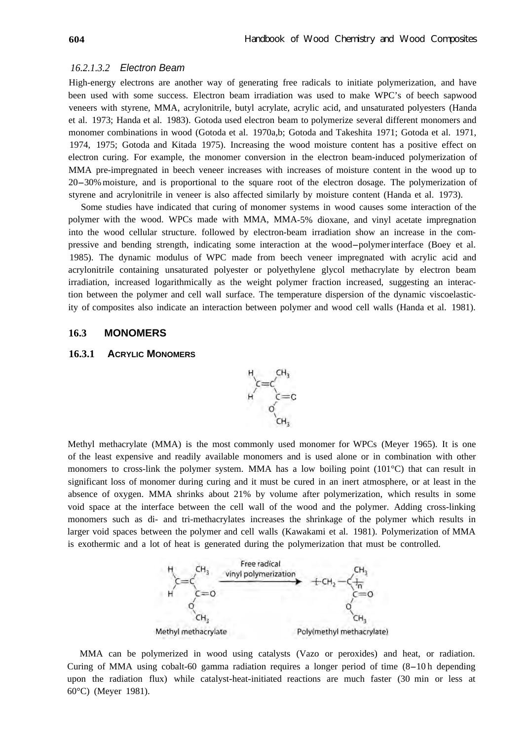#### <span id="page-5-0"></span>*16.2.1.3.2 Electron Beam*

High-energy electrons are another way of generating free radicals to initiate polymerization, and have been used with some success. Electron beam irradiation was used to make WPC's of beech sapwood veneers with styrene, MMA, acrylonitrile, butyl acrylate, acrylic acid, and unsaturated polyesters (Handa et al. 1973; Handa et al. 1983). Gotoda used electron beam to polymerize several different monomers and monomer combinations in wood (Gotoda et al. 1970a,b; Gotoda and Takeshita 1971; Gotoda et al. 1971, 1974, 1975; Gotoda and Kitada 1975). Increasing the wood moisture content has a positive effect on electron curing. For example, the monomer conversion in the electron beam-induced polymerization of MMA pre-impregnated in beech veneer increases with increases of moisture content in the wood up to 20-30% moisture, and is proportional to the square root of the electron dosage. The polymerization of styrene and acrylonitrile in veneer is also affected similarly by moisture content (Handa et al. 1973).

Some studies have indicated that curing of monomer systems in wood causes some interaction of the polymer with the wood. WPCs made with MMA, MMA-5% dioxane, and vinyl acetate impregnation into the wood cellular structure. followed by electron-beam irradiation show an increase in the compressive and bending strength, indicating some interaction at the wood-polymer interface (Boey et al. 1985). The dynamic modulus of WPC made from beech veneer impregnated with acrylic acid and acrylonitrile containing unsaturated polyester or polyethylene glycol methacrylate by electron beam irradiation, increased logarithmically as the weight polymer fraction increased, suggesting an interaction between the polymer and cell wall surface. The temperature dispersion of the dynamic viscoelasticity of composites also indicate an interaction between polymer and wood cell walls (Handa et al. 1981).

#### **16.3 MONOMERS**

#### **16.3.1 ACRYLIC MONOMERS**



Methyl methacrylate (MMA) is the most commonly used monomer for WPCs (Meyer 1965). It is one of the least expensive and readily available monomers and is used alone or in combination with other monomers to cross-link the polymer system. MMA has a low boiling point  $(101^{\circ}C)$  that can result in significant loss of monomer during curing and it must be cured in an inert atmosphere, or at least in the absence of oxygen. MMA shrinks about 21% by volume after polymerization, which results in some void space at the interface between the cell wall of the wood and the polymer. Adding cross-linking monomers such as di- and tri-methacrylates increases the shrinkage of the polymer which results in larger void spaces between the polymer and cell walls (Kawakami et al. 1981). Polymerization of MMA is exothermic and a lot of heat is generated during the polymerization that must be controlled.



MMA can be polymerized in wood using catalysts (Vazo or peroxides) and heat, or radiation. Curing of MMA using cobalt-60 gamma radiation requires a longer period of time (8-10 h depending upon the radiation flux) while catalyst-heat-initiated reactions are much faster (30 min or less at 60°C) (Meyer 1981).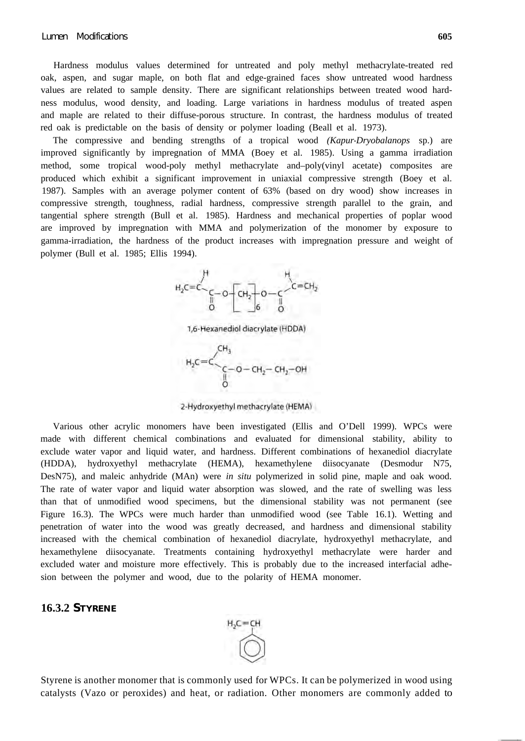<span id="page-6-0"></span>Hardness modulus values determined for untreated and poly methyl methacrylate-treated red oak, aspen, and sugar maple, on both flat and edge-grained faces show untreated wood hardness values are related to sample density. There are significant relationships between treated wood hardness modulus, wood density, and loading. Large variations in hardness modulus of treated aspen and maple are related to their diffuse-porous structure. In contrast, the hardness modulus of treated red oak is predictable on the basis of density or polymer loading (Beall et al. 1973).

The compressive and bending strengths of a tropical wood *(Kapur-Dryobalanops* sp.) are improved significantly by impregnation of MMA (Boey et al. 1985). Using a gamma irradiation method, some tropical wood-poly methyl methacrylate and–poly(vinyl acetate) composites are produced which exhibit a significant improvement in uniaxial compressive strength (Boey et al. 1987). Samples with an average polymer content of 63% (based on dry wood) show increases in compressive strength, toughness, radial hardness, compressive strength parallel to the grain, and tangential sphere strength (Bull et al. 1985). Hardness and mechanical properties of poplar wood are improved by impregnation with MMA and polymerization of the monomer by exposure to gamma-irradiation, the hardness of the product increases with impregnation pressure and weight of polymer (Bull et al. 1985; Ellis 1994).



1,6-Hexanediol diacrylate (HDDA)

 $H_2C = C \begin{cases} CH_3 \\ C - Q - CH_2 - CH_2 - OH \end{cases}$ 

2-Hydroxyethyl methacrylate (HEMA)

Various other acrylic monomers have been investigated (Ellis and O'Dell 1999). WPCs were made with different chemical combinations and evaluated for dimensional stability, ability to exclude water vapor and liquid water, and hardness. Different combinations of hexanediol diacrylate (HDDA), hydroxyethyl methacrylate (HEMA), hexamethylene diisocyanate (Desmodur N75, DesN75), and maleic anhydride (MAn) were *in situ* polymerized in solid pine, maple and oak wood. The rate of water vapor and liquid water absorption was slowed, and the rate of swelling was less than that of unmodified wood specimens, but the dimensional stability was not permanent (see [Figure 16.3\).](#page-7-0) The WPCs were much harder than unmodified wood (see [Table 16.1\).](#page-8-0) Wetting and penetration of water into the wood was greatly decreased, and hardness and dimensional stability increased with the chemical combination of hexanediol diacrylate, hydroxyethyl methacrylate, and hexamethylene diisocyanate. Treatments containing hydroxyethyl methacrylate were harder and excluded water and moisture more effectively. This is probably due to the increased interfacial adhesion between the polymer and wood, due to the polarity of HEMA monomer.

#### **16.3.2 STYRENE**



Styrene is another monomer that is commonly used for WPCs. It can be polymerized in wood using catalysts (Vazo or peroxides) and heat, or radiation. Other monomers are commonly added to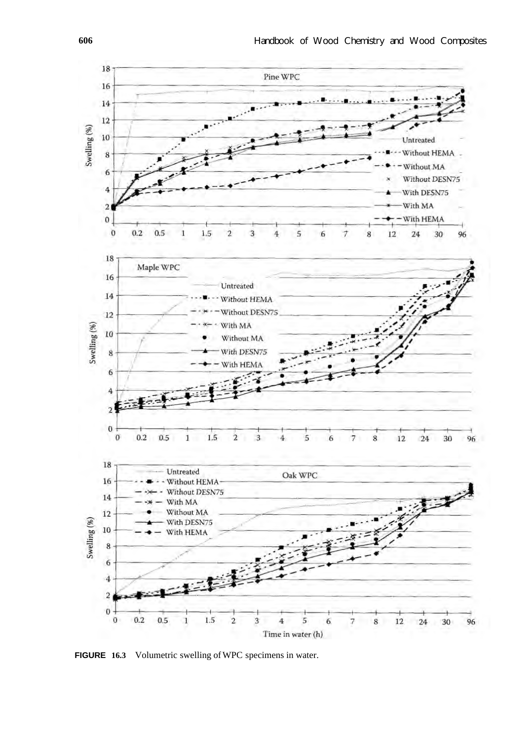<span id="page-7-0"></span>

**FIGURE 16.3** Volumetric swelling of WPC specimens in water.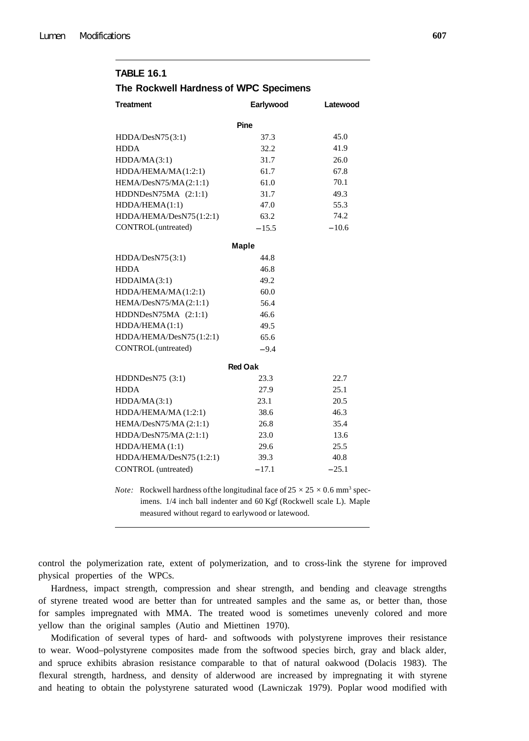<span id="page-8-0"></span>

| <b>TABLE 16.1</b>                      |
|----------------------------------------|
| The Rockwell Hardness of WPC Specimens |

| Treatment                  | Earlywood      | Latewood |
|----------------------------|----------------|----------|
|                            | Pine           |          |
| HDDA/DesN75(3:1)           | 37.3           | 45.0     |
| <b>HDDA</b>                | 32.2           | 41.9     |
| HDDA/MA(3:1)               | 31.7           | 26.0     |
| HDDA/HEMA/MA(1:2:1)        | 61.7           | 67.8     |
| HEMA/DesN75/MA(2:1:1)      | 61.0           | 70.1     |
| HDDNDesN75MA (2:1:1)       | 31.7           | 49.3     |
| HDDA/HEMA(1:1)             | 47.0           | 55.3     |
| HDDA/HEMA/DesN75(1:2:1)    | 63.2           | 74.2     |
| CONTROL (untreated)        | $-15.5$        | $-10.6$  |
|                            | <b>Maple</b>   |          |
| HDDA/DesN75(3:1)           | 44.8           |          |
| <b>HDDA</b>                | 46.8           |          |
| HDDAIMA(3:1)               | 49.2           |          |
| HDDA/HEMA/MA(1:2:1)        | 60.0           |          |
| HEMA/DesN75/MA(2:1:1)      | 56.4           |          |
| HDDNDesN75MA $(2:1:1)$     | 46.6           |          |
| HDDA/HEMA(1:1)             | 49.5           |          |
| HDDA/HEMA/DesN75(1:2:1)    | 65.6           |          |
| CONTROL (untreated)        | $-9.4$         |          |
|                            | <b>Red Oak</b> |          |
| HDDNDesN75 $(3:1)$         | 23.3           | 22.7     |
| <b>HDDA</b>                | 27.9           | 25.1     |
| HDDA/MA(3:1)               | 23.1           | 20.5     |
| HDDA/HEMA/MA (1:2:1)       | 38.6           | 46.3     |
| HEMA/DesN75/MA (2:1:1)     | 26.8           | 35.4     |
| HDDA/DesN75/MA(2:1:1)      | 23.0           | 13.6     |
| HDDA/HEMA(1:1)             | 29.6           | 25.5     |
| HDDA/HEMA/DesN75(1:2:1)    | 39.3           | 40.8     |
| <b>CONTROL</b> (untreated) | $-17.1$        | $-25.1$  |
|                            |                |          |

*Note:* Rockwell hardness of the longitudinal face of  $25 \times 25 \times 0.6$  mm<sup>3</sup> specimens. 1/4 inch ball indenter and 60 Kgf (Rockwell scale L). Maple measured without regard to earlywood or latewood.

control the polymerization rate, extent of polymerization, and to cross-link the styrene for improved physical properties of the WPCs.

Hardness, impact strength, compression and shear strength, and bending and cleavage strengths of styrene treated wood are better than for untreated samples and the same as, or better than, those for samples impregnated with MMA. The treated wood is sometimes unevenly colored and more yellow than the original samples (Autio and Miettinen 1970).

Modification of several types of hard- and softwoods with polystyrene improves their resistance to wear. Wood–polystyrene composites made from the softwood species birch, gray and black alder, and spruce exhibits abrasion resistance comparable to that of natural oakwood (Dolacis 1983). The flexural strength, hardness, and density of alderwood are increased by impregnating it with styrene and heating to obtain the polystyrene saturated wood (Lawniczak 1979). Poplar wood modified with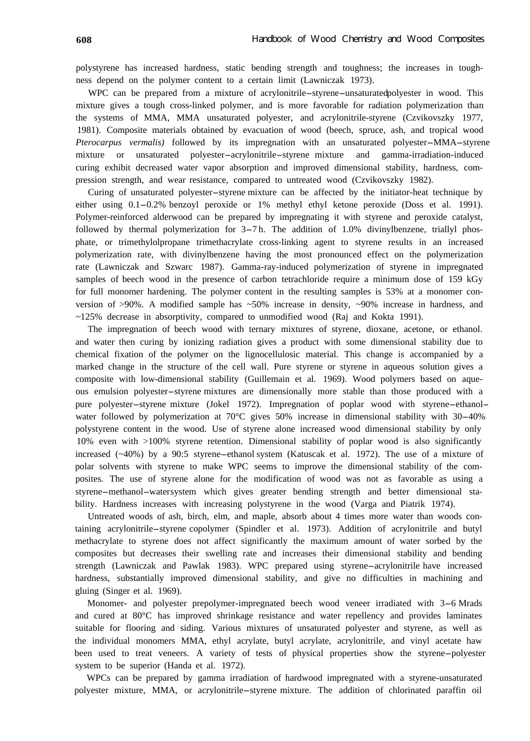polystyrene has increased hardness, static bending strength and toughness; the increases in toughness depend on the polymer content to a certain limit (Lawniczak 1973).

WPC can be prepared from a mixture of acrylonitrile–styrene–unsaturatedpolyester in wood. This mixture gives a tough cross-linked polymer, and is more favorable for radiation polymerization than the systems of MMA, MMA unsaturated polyester, and acrylonitrile-styrene (Czvikovszky 1977, 1981). Composite materials obtained by evacuation of wood (beech, spruce, ash, and tropical wood *Pterocarpus vermalis)* followed by its impregnation with an unsaturated polyester-MMA-styrene mixture or unsaturated polyester-acrylonitrile-styrene mixture and gamma-irradiation-induced curing exhibit decreased water vapor absorption and improved dimensional stability, hardness, compression strength, and wear resistance, compared to untreated wood (Czvikovszky 1982).

Curing of unsaturated polyester-styrene mixture can be affected by the initiator-heat technique by either using 0.1-0.2% benzoyl peroxide or 1% methyl ethyl ketone peroxide (Doss et al. 1991). Polymer-reinforced alderwood can be prepared by impregnating it with styrene and peroxide catalyst, followed by thermal polymerization for 3-7 h. The addition of 1.0% divinylbenzene, triallyl phosphate, or trimethylolpropane trimethacrylate cross-linking agent to styrene results in an increased polymerization rate, with divinylbenzene having the most pronounced effect on the polymerization rate (Lawniczak and Szwarc 1987). Gamma-ray-induced polymerization of styrene in impregnated samples of beech wood in the presence of carbon tetrachloride require a minimum dose of 159 kGy for full monomer hardening. The polymer content in the resulting samples is 53% at a monomer conversion of >90%. A modified sample has ~50% increase in density, ~90% increase in hardness, and ~125% decrease in absorptivity, compared to unmodified wood (Raj and Kokta 1991).

The impregnation of beech wood with ternary mixtures of styrene, dioxane, acetone, or ethanol. and water then curing by ionizing radiation gives a product with some dimensional stability due to chemical fixation of the polymer on the lignocellulosic material. This change is accompanied by a marked change in the structure of the cell wall. Pure styrene or styrene in aqueous solution gives a composite with low-dimensional stability (Guillemain et al. 1969). Wood polymers based on aqueous emulsion polyester-styrene mixtures are dimensionally more stable than those produced with a pure polyester-styrene mixture (Jokel 1972). Impregnation of poplar wood with styrene-ethanolwater followed by polymerization at 70°C gives 50% increase in dimensional stability with 30–40% polystyrene content in the wood. Use of styrene alone increased wood dimensional stability by only 10% even with >100% styrene retention. Dimensional stability of poplar wood is also significantly increased (~40%) by a 90:5 styrene-ethanol system (Katuscak et al. 1972). The use of a mixture of polar solvents with styrene to make WPC seems to improve the dimensional stability of the composites. The use of styrene alone for the modification of wood was not as favorable as using a styrene-methanol-watersystem which gives greater bending strength and better dimensional stability. Hardness increases with increasing polystyrene in the wood (Varga and Piatrik 1974).

Untreated woods of ash, birch, elm, and maple, absorb about 4 times more water than woods containing acrylonitrile-styrene copolymer (Spindler et al. 1973). Addition of acrylonitrile and butyl methacrylate to styrene does not affect significantly the maximum amount of water sorbed by the composites but decreases their swelling rate and increases their dimensional stability and bending strength (Lawniczak and Pawlak 1983). WPC prepared using styrene-acrylonitrile have increased hardness, substantially improved dimensional stability, and give no difficulties in machining and gluing (Singer et al. 1969).

Monomer- and polyester prepolymer-impregnated beech wood veneer irradiated with 3-6 Mrads and cured at 80°C has improved shrinkage resistance and water repellency and provides laminates suitable for flooring and siding. Various mixtures of unsaturated polyester and styrene, as well as the individual monomers MMA, ethyl acrylate, butyl acrylate, acrylonitrile, and vinyl acetate haw been used to treat veneers. A variety of tests of physical properties show the styrene-polyester system to be superior (Handa et al. 1972).

WPCs can be prepared by gamma irradiation of hardwood impregnated with a styrene-unsaturated polyester mixture, MMA, or acrylonitrile-styrene mixture. The addition of chlorinated paraffin oil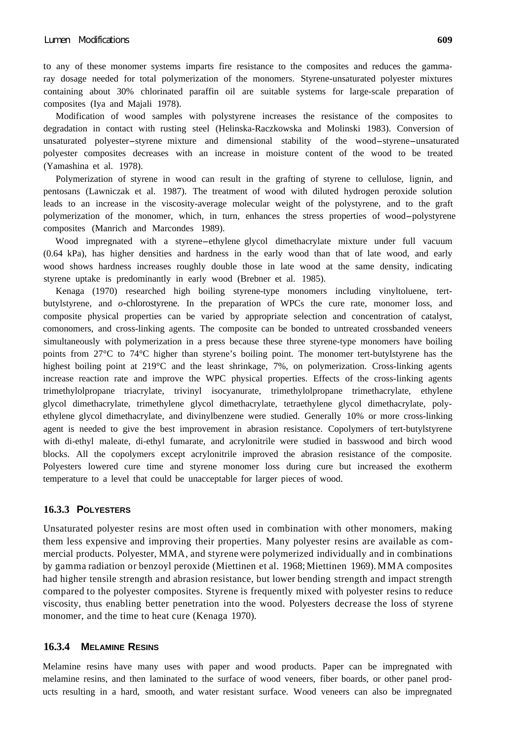<span id="page-10-0"></span>to any of these monomer systems imparts fire resistance to the composites and reduces the gammaray dosage needed for total polymerization of the monomers. Styrene-unsaturated polyester mixtures containing about 30% chlorinated paraffin oil are suitable systems for large-scale preparation of composites (Iya and Majali 1978).

Modification of wood samples with polystyrene increases the resistance of the composites to degradation in contact with rusting steel (Helinska-Raczkowska and Molinski 1983). Conversion of unsaturated polyester-styrene mixture and dimensional stability of the wood-styrene-unsaturated polyester composites decreases with an increase in moisture content of the wood to be treated (Yamashina et al. 1978).

Polymerization of styrene in wood can result in the grafting of styrene to cellulose, lignin, and pentosans (Lawniczak et al. 1987). The treatment of wood with diluted hydrogen peroxide solution leads to an increase in the viscosity-average molecular weight of the polystyrene, and to the graft polymerization of the monomer, which, in turn, enhances the stress properties of wood-polystyrene composites (Manrich and Marcondes 1989).

Wood impregnated with a styrene-ethylene glycol dimethacrylate mixture under full vacuum (0.64 kPa), has higher densities and hardness in the early wood than that of late wood, and early wood shows hardness increases roughly double those in late wood at the same density, indicating styrene uptake is predominantly in early wood (Brebner et al. 1985).

Kenaga (1970) researched high boiling styrene-type monomers including vinyltoluene, tertbutylstyrene, and *o*-chlorostyrene. In the preparation of WPCs the cure rate, monomer loss, and composite physical properties can be varied by appropriate selection and concentration of catalyst, comonomers, and cross-linking agents. The composite can be bonded to untreated crossbanded veneers simultaneously with polymerization in a press because these three styrene-type monomers have boiling points from 27°C to 74°C higher than styrene's boiling point. The monomer tert-butylstyrene has the highest boiling point at 219°C and the least shrinkage, 7%, on polymerization. Cross-linking agents increase reaction rate and improve the WPC physical properties. Effects of the cross-linking agents trimethylolpropane triacrylate, trivinyl isocyanurate, trimethylolpropane trimethacrylate, ethylene glycol dimethacrylate, trimethylene glycol dimethacrylate, tetraethylene glycol dimethacrylate, polyethylene glycol dimethacrylate, and divinylbenzene were studied. Generally 10% or more cross-linking agent is needed to give the best improvement in abrasion resistance. Copolymers of tert-butylstyrene with di-ethyl maleate, di-ethyl fumarate, and acrylonitrile were studied in basswood and birch wood blocks. All the copolymers except acrylonitrile improved the abrasion resistance of the composite. Polyesters lowered cure time and styrene monomer loss during cure but increased the exotherm temperature to a level that could be unacceptable for larger pieces of wood.

#### **16.3.3 POLYESTERS**

Unsaturated polyester resins are most often used in combination with other monomers, making them less expensive and improving their properties. Many polyester resins are available as commercial products. Polyester, MMA, and styrene were polymerized individually and in combinations by gamma radiation or benzoyl peroxide (Miettinen et al. 1968; Miettinen 1969). MMA composites had higher tensile strength and abrasion resistance, but lower bending strength and impact strength compared to the polyester composites. Styrene is frequently mixed with polyester resins to reduce viscosity, thus enabling better penetration into the wood. Polyesters decrease the loss of styrene monomer, and the time to heat cure (Kenaga 1970).

#### **16.3.4 MELAMINE RESINS**

Melamine resins have many uses with paper and wood products. Paper can be impregnated with melamine resins, and then laminated to the surface of wood veneers, fiber boards, or other panel products resulting in a hard, smooth, and water resistant surface. Wood veneers can also be impregnated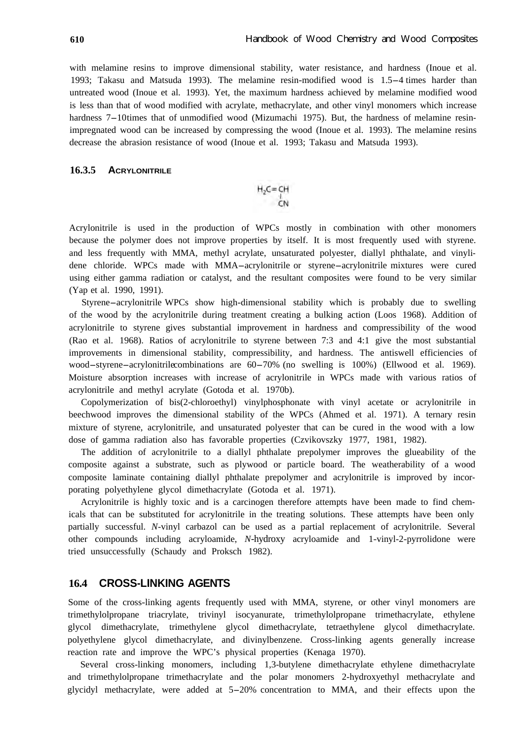<span id="page-11-0"></span>with melamine resins to improve dimensional stability, water resistance, and hardness (Inoue et al. 1993; Takasu and Matsuda 1993). The melamine resin-modified wood is 1.5-4 times harder than untreated wood (Inoue et al. 1993). Yet, the maximum hardness achieved by melamine modified wood is less than that of wood modified with acrylate, methacrylate, and other vinyl monomers which increase hardness 7-10times that of unmodified wood (Mizumachi 1975). But, the hardness of melamine resinimpregnated wood can be increased by compressing the wood (Inoue et al. 1993). The melamine resins decrease the abrasion resistance of wood (Inoue et al. 1993; Takasu and Matsuda 1993).

#### **16.3.5 ACRYLONITRILE**

$$
H_2C = \underset{C}{CH}
$$

Acrylonitrile is used in the production of WPCs mostly in combination with other monomers because the polymer does not improve properties by itself. It is most frequently used with styrene. and less frequently with MMA, methyl acrylate, unsaturated polyester, diallyl phthalate, and vinylidene chloride. WPCs made with MMA-acrylonitrile or styrene-acrylonitrile mixtures were cured using either gamma radiation or catalyst, and the resultant composites were found to be very similar (Yap et al. 1990, 1991).

Styrene-acrylonitrile WPCs show high-dimensional stability which is probably due to swelling of the wood by the acrylonitrile during treatment creating a bulking action (Loos 1968). Addition of acrylonitrile to styrene gives substantial improvement in hardness and compressibility of the wood (Rao et al. 1968). Ratios of acrylonitrile to styrene between 7:3 and 4:1 give the most substantial improvements in dimensional stability, compressibility, and hardness. The antiswell efficiencies of wood-styrene-acrylonitrilecombinations are 60-70% (no swelling is 100%) (Ellwood et al. 1969). Moisture absorption increases with increase of acrylonitrile in WPCs made with various ratios of acrylonitrile and methyl acrylate (Gotoda et al. 1970b).

Copolymerization of bis(2-chloroethyl) vinylphosphonate with vinyl acetate or acrylonitrile in beechwood improves the dimensional stability of the WPCs (Ahmed et al. 1971). A ternary resin mixture of styrene, acrylonitrile, and unsaturated polyester that can be cured in the wood with a low dose of gamma radiation also has favorable properties (Czvikovszky 1977, 1981, 1982).

The addition of acrylonitrile to a diallyl phthalate prepolymer improves the glueability of the composite against a substrate, such as plywood or particle board. The weatherability of a wood composite laminate containing diallyl phthalate prepolymer and acrylonitrile is improved by incorporating polyethylene glycol dimethacrylate (Gotoda et al. 1971).

Acrylonitrile is highly toxic and is a carcinogen therefore attempts have been made to find chemicals that can be substituted for acrylonitrile in the treating solutions. These attempts have been only partially successful. *N*-vinyl carbazol can be used as a partial replacement of acrylonitrile. Several other compounds including acryloamide, *N*-hydroxy acryloamide and 1-vinyl-2-pyrrolidone were tried unsuccessfully (Schaudy and Proksch 1982).

#### **16.4 CROSS-LINKING AGENTS**

Some of the cross-linking agents frequently used with MMA, styrene, or other vinyl monomers are trimethylolpropane triacrylate, trivinyl isocyanurate, trimethylolpropane trimethacrylate, ethylene glycol dimethacrylate, trimethylene glycol dimethacrylate, tetraethylene glycol dimethacrylate. polyethylene glycol dimethacrylate, and divinylbenzene. Cross-linking agents generally increase reaction rate and improve the WPC's physical properties (Kenaga 1970).

Several cross-linking monomers, including 1,3-butylene dimethacrylate ethylene dimethacrylate and trimethylolpropane trimethacrylate and the polar monomers 2-hydroxyethyl methacrylate and glycidyl methacrylate, were added at 5-20% concentration to MMA, and their effects upon the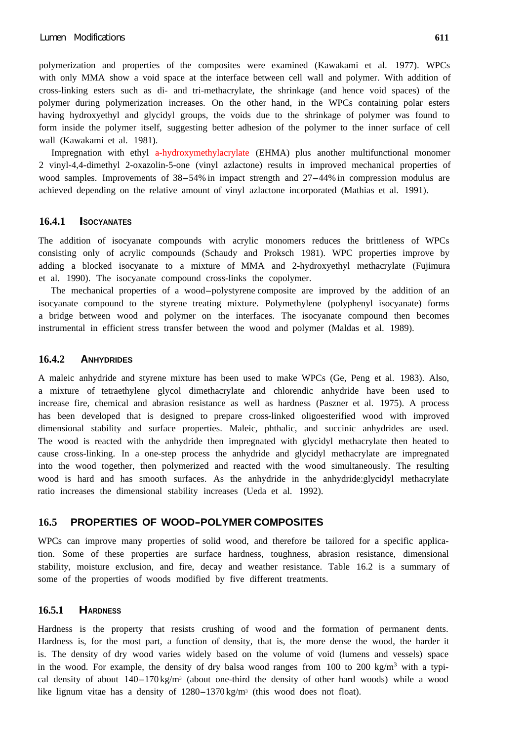<span id="page-12-0"></span>polymerization and properties of the composites were examined (Kawakami et al. 1977). WPCs with only MMA show a void space at the interface between cell wall and polymer. With addition of cross-linking esters such as di- and tri-methacrylate, the shrinkage (and hence void spaces) of the polymer during polymerization increases. On the other hand, in the WPCs containing polar esters having hydroxyethyl and glycidyl groups, the voids due to the shrinkage of polymer was found to form inside the polymer itself, suggesting better adhesion of the polymer to the inner surface of cell wall (Kawakami et al. 1981).

Impregnation with ethyl a-hydroxymethylacrylate (EHMA) plus another multifunctional monomer 2 vinyl-4,4-dimethyl 2-oxazolin-5-one (vinyl azlactone) results in improved mechanical properties of wood samples. Improvements of 38-54% in impact strength and 27-44% in compression modulus are achieved depending on the relative amount of vinyl azlactone incorporated (Mathias et al. 1991).

#### **16.4.1 ISOCYANATES**

The addition of isocyanate compounds with acrylic monomers reduces the brittleness of WPCs consisting only of acrylic compounds (Schaudy and Proksch 1981). WPC properties improve by adding a blocked isocyanate to a mixture of MMA and 2-hydroxyethyl methacrylate (Fujimura et al. 1990). The isocyanate compound cross-links the copolymer.

The mechanical properties of a wood-polystyrene composite are improved by the addition of an isocyanate compound to the styrene treating mixture. Polymethylene (polyphenyl isocyanate) forms a bridge between wood and polymer on the interfaces. The isocyanate compound then becomes instrumental in efficient stress transfer between the wood and polymer (Maldas et al. 1989).

#### **16.4.2 ANHYDRIDES**

A maleic anhydride and styrene mixture has been used to make WPCs (Ge, Peng et al. 1983). Also, a mixture of tetraethylene glycol dimethacrylate and chlorendic anhydride have been used to increase fire, chemical and abrasion resistance as well as hardness (Paszner et al. 1975). A process has been developed that is designed to prepare cross-linked oligoesterified wood with improved dimensional stability and surface properties. Maleic, phthalic, and succinic anhydrides are used. The wood is reacted with the anhydride then impregnated with glycidyl methacrylate then heated to cause cross-linking. In a one-step process the anhydride and glycidyl methacrylate are impregnated into the wood together, then polymerized and reacted with the wood simultaneously. The resulting wood is hard and has smooth surfaces. As the anhydride in the anhydride:glycidyl methacrylate ratio increases the dimensional stability increases (Ueda et al. 1992).

#### **16.5 PROPERTIES OF WOOD-POLYMER COMPOSITES**

WPCs can improve many properties of solid wood, and therefore be tailored for a specific application. Some of these properties are surface hardness, toughness, abrasion resistance, dimensional stability, moisture exclusion, and fire, decay and weather resistance. [Table 16.2](#page-13-0) is a summary of some of the properties of woods modified by five different treatments.

#### **16.5.1 HARDNESS**

Hardness is the property that resists crushing of wood and the formation of permanent dents. Hardness is, for the most part, a function of density, that is, the more dense the wood, the harder it is. The density of dry wood varies widely based on the volume of void (lumens and vessels) space in the wood. For example, the density of dry balsa wood ranges from 100 to 200 kg/m<sup>3</sup> with a typical density of about  $140-170 \text{ kg/m}^3$  (about one-third the density of other hard woods) while a wood like lignum vitae has a density of 1280–1370 kg/m<sup>3</sup> (this wood does not float).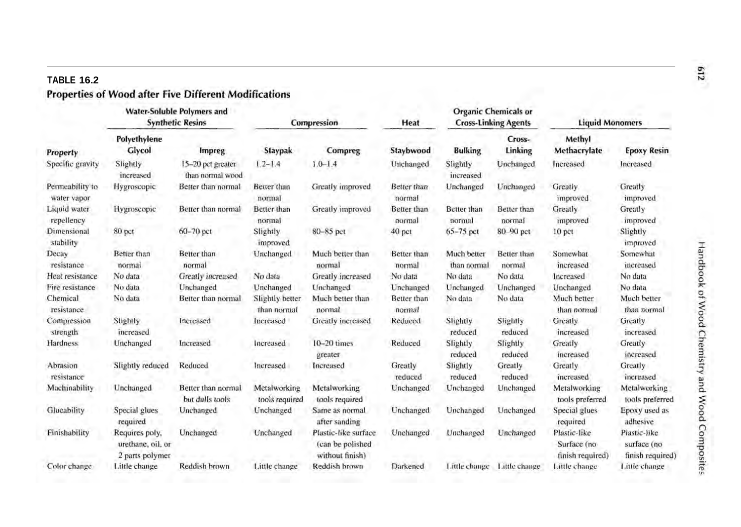### <span id="page-13-0"></span>**TABLE 16.2 Properties of Wood after Five Different Modifications**

|                                |                                                        | Water-Soluble Polymers and<br><b>Synthetic Resins</b> |                                | <b>Compression</b>                                           | Heat                  |                            | <b>Organic Chemicals or</b><br><b>Cross-Linking Agents</b> | <b>Liquid Monomers</b>                          |                                                |
|--------------------------------|--------------------------------------------------------|-------------------------------------------------------|--------------------------------|--------------------------------------------------------------|-----------------------|----------------------------|------------------------------------------------------------|-------------------------------------------------|------------------------------------------------|
| Property                       | Polyethylene<br>Glycol                                 | Impreg                                                | Staypak                        | <b>Compreg</b>                                               | Staybwood             | <b>Bulking</b>             | Cross-<br>Linking                                          | Methyl<br>Methacrylate                          | <b>Epoxy Resin</b>                             |
| Specific gravity               | Slightly<br>increased                                  | 15-20 pct greater<br>than normal wood                 | $1.2 - 1.4$                    | $1.0 - 1.4$                                                  | Unchanged             | Slightly<br>increased      | Unchanged                                                  | Increased                                       | Increased                                      |
| Permeability to<br>water vapor | Hygroscopic                                            | Better than normal                                    | Better than<br>normal          | Greatly improved                                             | Better than<br>normal | Unchanged                  | Unchanged                                                  | Greatly<br>improved                             | Greatly<br>improved                            |
| Liquid water<br>repellency     | Hygroscopic                                            | Better than normal                                    | Better than<br>normal          | Greatly improved                                             | Better than<br>normal | Better than<br>normal      | Better than<br>normal                                      | Greatly<br>improved                             | Greatly<br>improved                            |
| Dimensional<br>stability       | 80 pct                                                 | 60-70 pct                                             | Slightly<br>improved           | 80-85 pct                                                    | 40 pct                | 65-75 pct                  | 80-90 pct                                                  | 10 pct                                          | Slightly<br>improved                           |
| Decay<br>resistance            | Better than<br>normal                                  | Better than<br>normal                                 | Unchanged                      | Much better than<br>normal                                   | Better than<br>normal | Much better<br>than normal | Better than<br>normal                                      | Somewhat<br>increased                           | Somewhat<br>increased                          |
| Heat resistance                | No data                                                | Greatly increased                                     | No data                        | Greatly increased                                            | No data               | No data                    | No data                                                    | Increased                                       | No data                                        |
| Fire resistance                | No data                                                | Unchanged                                             | Unchanged                      | Unchanged                                                    | Unchanged             | Unchanged                  | Unchanged                                                  | Unchanged                                       | No data                                        |
| Chemical<br>resistance         | No data                                                | Better than normal                                    | Slightly better<br>than normal | Much better than<br>normal                                   | Better than<br>normal | No data                    | No data                                                    | Much better<br>than normal                      | Much better<br>than normal                     |
| Compression<br>strength        | Slightly<br>increased                                  | Increased                                             | Increased                      | Greatly increased                                            | Reduced               | Slightly<br>reduced        | Slightly<br>reduced                                        | Greatly<br>increased                            | Greatly<br>increased                           |
| Hardness                       | Unchanged                                              | Increased                                             | Increased                      | $10-20$ times<br>greater                                     | Reduced               | Slightly<br>reduced        | Slightly<br>reduced                                        | Greatly<br>increased                            | Greatly<br>increased                           |
| Abrasion<br>resistance         | Slightly reduced                                       | Reduced                                               | Increased                      | Increased                                                    | Greatly<br>reduced    | Slightly<br>reduced        | Greatly<br>reduced                                         | Greatly<br>increased                            | Greatly<br>increased                           |
| Machinability                  | Unchanged                                              | Better than normal<br>but dulls tools                 | Metalworking<br>tools required | Metalworking<br>tools required                               | Unchanged             | Unchanged                  | Unchanged                                                  | Metalworking<br>tools preferred                 | Metalworking<br>tools preferred                |
| Glucability                    | Special glues<br>required                              | Unchanged                                             | Unchanged                      | Same as normal<br>after sanding                              | Unchanged             | Unchanged                  | Unchanged                                                  | Special glues<br>required                       | Epoxy used as<br>adhesive                      |
| Finishability                  | Requires poly.<br>urethane, oil, or<br>2 parts polymer | Unchanged                                             | Unchanged                      | Plastic-like surface<br>(can be polished)<br>without finish) | Unchanged             | Unchanged                  | Unchanged                                                  | Plastic-like<br>Surface (no<br>finish required) | Piastic-like<br>surface (no<br>finish required |
| Color change                   | Little change                                          | Reddish brown                                         | Little change                  | Reddish brown                                                | Darkened              | Little change              | Little change                                              | Little change                                   | Little change                                  |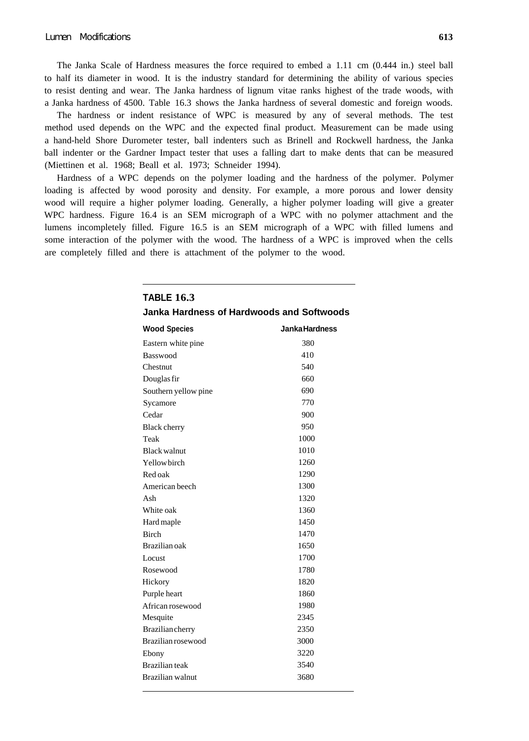The Janka Scale of Hardness measures the force required to embed a 1.11 cm (0.444 in.) steel ball to half its diameter in wood. It is the industry standard for determining the ability of various species to resist denting and wear. The Janka hardness of lignum vitae ranks highest of the trade woods, with a Janka hardness of 4500. Table 16.3 shows the Janka hardness of several domestic and foreign woods.

The hardness or indent resistance of WPC is measured by any of several methods. The test method used depends on the WPC and the expected final product. Measurement can be made using a hand-held Shore Durometer tester, ball indenters such as Brinell and Rockwell hardness, the Janka ball indenter or the Gardner Impact tester that uses a falling dart to make dents that can be measured (Miettinen et al. 1968; Beall et al. 1973; Schneider 1994).

Hardness of a WPC depends on the polymer loading and the hardness of the polymer. Polymer loading is affected by wood porosity and density. For example, a more porous and lower density wood will require a higher polymer loading. Generally, a higher polymer loading will give a greater WPC hardness. Figure 16.4 is an SEM micrograph of a WPC with no polymer attachment and the lumens incompletely filled. Figure 16.5 is an SEM micrograph of a WPC with filled lumens and some interaction of the polymer with the wood. The hardness of a WPC is improved when the cells are completely filled and there is attachment of the polymer to the wood.

| Janka Hardness of Hardwoods and Softwood: |                       |
|-------------------------------------------|-----------------------|
| <b>Wood Species</b>                       | <b>Janka Hardness</b> |
| Eastern white pine                        | 380                   |
| <b>Basswood</b>                           | 410                   |
| Chestnut                                  | 540                   |
| Douglas fir                               | 660                   |
| Southern yellow pine                      | 690                   |
| Sycamore                                  | 770                   |
| Cedar                                     | 900                   |
| <b>Black cherry</b>                       | 950                   |
| Teak                                      | 1000                  |
| <b>Black walnut</b>                       | 1010                  |
| Yellow birch                              | 1260                  |
| Red oak                                   | 1290                  |
| American beech                            | 1300                  |
| Ash                                       | 1320                  |
| White oak                                 | 1360                  |
| Hard maple                                | 1450                  |
| <b>Birch</b>                              | 1470                  |
| Brazilian oak                             | 1650                  |
| Locust                                    | 1700                  |
| Rosewood                                  | 1780                  |
| Hickory                                   | 1820                  |
| Purple heart                              | 1860                  |
| African rosewood                          | 1980                  |
| Mesquite                                  | 2345                  |
| Brazilian cherry                          | 2350                  |
| Brazilian rosewood                        | 3000                  |
| Ebony                                     | 3220                  |
| Brazilian teak                            | 3540                  |
| Brazilian walnut                          | 3680                  |

# **TABLE 16.3 Janka Hardness of Hardwoods and Softwoods**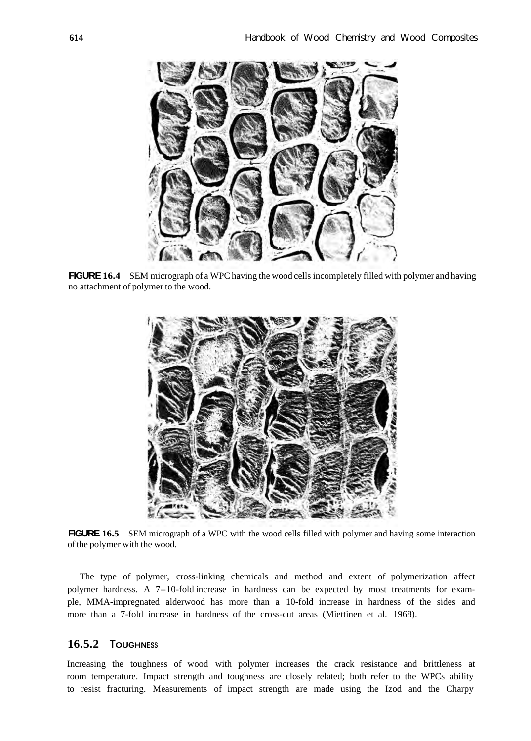<span id="page-15-0"></span>![](_page_15_Picture_1.jpeg)

**FIGURE 16.4** SEM micrograph of a WPC having the wood cells incompletely filled with polymer and having no attachment of polymer to the wood.

![](_page_15_Picture_3.jpeg)

**FIGURE 16.5** SEM micrograph of a WPC with the wood cells filled with polymer and having some interaction of the polymer with the wood.

The type of polymer, cross-linking chemicals and method and extent of polymerization affect polymer hardness. A 7-10-fold increase in hardness can be expected by most treatments for example, MMA-impregnated alderwood has more than a 10-fold increase in hardness of the sides and more than a 7-fold increase in hardness of the cross-cut areas (Miettinen et al. 1968).

#### **16.5.2 TOUGHNESS**

Increasing the toughness of wood with polymer increases the crack resistance and brittleness at room temperature. Impact strength and toughness are closely related; both refer to the WPCs ability to resist fracturing. Measurements of impact strength are made using the Izod and the Charpy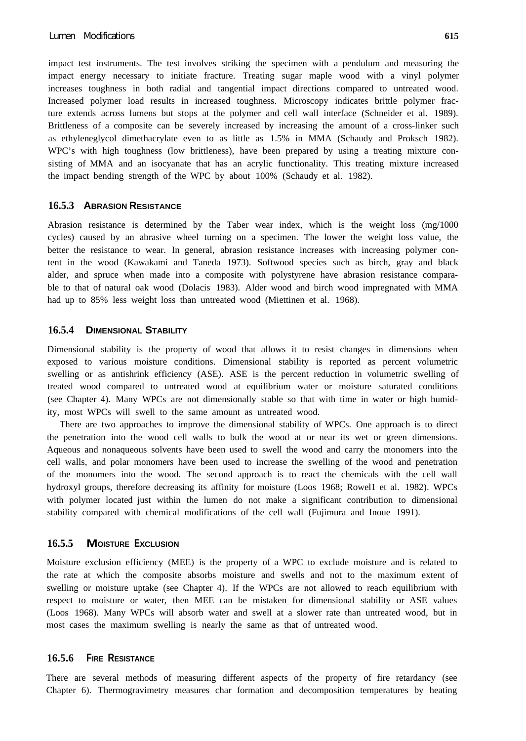<span id="page-16-0"></span>impact test instruments. The test involves striking the specimen with a pendulum and measuring the impact energy necessary to initiate fracture. Treating sugar maple wood with a vinyl polymer increases toughness in both radial and tangential impact directions compared to untreated wood. Increased polymer load results in increased toughness. Microscopy indicates brittle polymer fracture extends across lumens but stops at the polymer and cell wall interface (Schneider et al. 1989). Brittleness of a composite can be severely increased by increasing the amount of a cross-linker such as ethyleneglycol dimethacrylate even to as little as 1.5% in MMA (Schaudy and Proksch 1982). WPC's with high toughness (low brittleness), have been prepared by using a treating mixture consisting of MMA and an isocyanate that has an acrylic functionality. This treating mixture increased the impact bending strength of the WPC by about 100% (Schaudy et al. 1982).

#### **16.5.3 ABRASION RESISTANCE**

Abrasion resistance is determined by the Taber wear index, which is the weight loss (mg/1000 cycles) caused by an abrasive wheel turning on a specimen. The lower the weight loss value, the better the resistance to wear. In general, abrasion resistance increases with increasing polymer content in the wood (Kawakami and Taneda 1973). Softwood species such as birch, gray and black alder, and spruce when made into a composite with polystyrene have abrasion resistance comparable to that of natural oak wood (Dolacis 1983). Alder wood and birch wood impregnated with MMA had up to 85% less weight loss than untreated wood (Miettinen et al. 1968).

#### **16.5.4 DIMENSIONAL STABILITY**

Dimensional stability is the property of wood that allows it to resist changes in dimensions when exposed to various moisture conditions. Dimensional stability is reported as percent volumetric swelling or as antishrink efficiency (ASE). ASE is the percent reduction in volumetric swelling of treated wood compared to untreated wood at equilibrium water or moisture saturated conditions (see Chapter 4). Many WPCs are not dimensionally stable so that with time in water or high humidity, most WPCs will swell to the same amount as untreated wood.

There are two approaches to improve the dimensional stability of WPCs. One approach is to direct the penetration into the wood cell walls to bulk the wood at or near its wet or green dimensions. Aqueous and nonaqueous solvents have been used to swell the wood and carry the monomers into the cell walls, and polar monomers have been used to increase the swelling of the wood and penetration of the monomers into the wood. The second approach is to react the chemicals with the cell wall hydroxyl groups, therefore decreasing its affinity for moisture (Loos 1968; Rowel1 et al. 1982). WPCs with polymer located just within the lumen do not make a significant contribution to dimensional stability compared with chemical modifications of the cell wall (Fujimura and Inoue 1991).

#### **16.5.5 MOISTURE EXCLUSION**

Moisture exclusion efficiency (MEE) is the property of a WPC to exclude moisture and is related to the rate at which the composite absorbs moisture and swells and not to the maximum extent of swelling or moisture uptake (see Chapter 4). If the WPCs are not allowed to reach equilibrium with respect to moisture or water, then MEE can be mistaken for dimensional stability or ASE values (Loos 1968). Many WPCs will absorb water and swell at a slower rate than untreated wood, but in most cases the maximum swelling is nearly the same as that of untreated wood.

#### **16.5.6 FIRE RESISTANCE**

There are several methods of measuring different aspects of the property of fire retardancy (see Chapter 6). Thermogravimetry measures char formation and decomposition temperatures by heating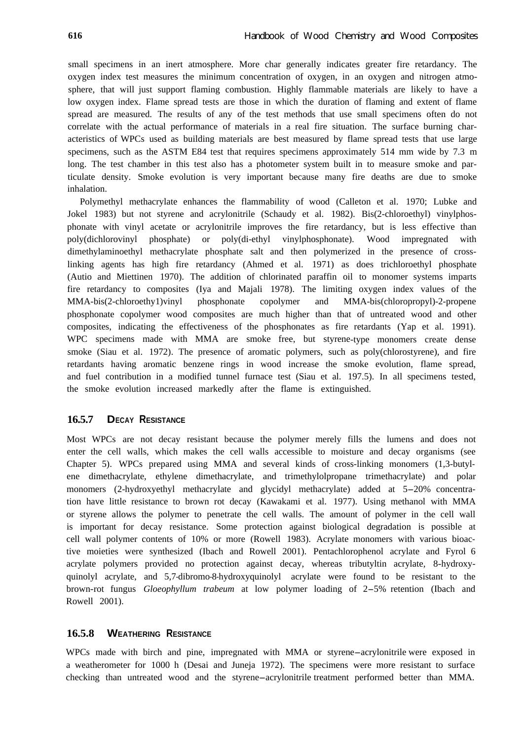<span id="page-17-0"></span>small specimens in an inert atmosphere. More char generally indicates greater fire retardancy. The oxygen index test measures the minimum concentration of oxygen, in an oxygen and nitrogen atmosphere, that will just support flaming combustion. Highly flammable materials are likely to have a low oxygen index. Flame spread tests are those in which the duration of flaming and extent of flame spread are measured. The results of any of the test methods that use small specimens often do not correlate with the actual performance of materials in a real fire situation. The surface burning characteristics of WPCs used as building materials are best measured by flame spread tests that use large specimens, such as the ASTM E84 test that requires specimens approximately 514 mm wide by 7.3 m long. The test chamber in this test also has a photometer system built in to measure smoke and particulate density. Smoke evolution is very important because many fire deaths are due to smoke inhalation.

Polymethyl methacrylate enhances the flammability of wood (Calleton et al. 1970; Lubke and Jokel 1983) but not styrene and acrylonitrile (Schaudy et al. 1982). Bis(2-chloroethyl) vinylphosphonate with vinyl acetate or acrylonitrile improves the fire retardancy, but is less effective than poly(dichlorovinyl phosphate) or poly(di-ethyl vinylphosphonate). Wood impregnated with dimethylaminoethyl methacrylate phosphate salt and then polymerized in the presence of crosslinking agents has high fire retardancy (Ahmed et al. 1971) as does trichloroethyl phosphate (Autio and Miettinen 1970). The addition of chlorinated paraffin oil to monomer systems imparts fire retardancy to composites (Iya and Majali 1978). The limiting oxygen index values of the MMA-bis(2-chloroethy1)vinyl phosphonate copolymer and MMA-bis(chloropropyl)-2-propene phosphonate copolymer wood composites are much higher than that of untreated wood and other composites, indicating the effectiveness of the phosphonates as fire retardants (Yap et al. 1991). WPC specimens made with MMA are smoke free, but styrene-type monomers create dense smoke (Siau et al. 1972). The presence of aromatic polymers, such as poly(chlorostyrene), and fire retardants having aromatic benzene rings in wood increase the smoke evolution, flame spread, and fuel contribution in a modified tunnel furnace test (Siau et al. 197.5). In all specimens tested, the smoke evolution increased markedly after the flame is extinguished.

#### **16.5.7 DECAY RESISTANCE**

Most WPCs are not decay resistant because the polymer merely fills the lumens and does not enter the cell walls, which makes the cell walls accessible to moisture and decay organisms (see Chapter 5). WPCs prepared using MMA and several kinds of cross-linking monomers (1,3-butylene dimethacrylate, ethylene dimethacrylate, and trimethylolpropane trimethacrylate) and polar monomers (2-hydroxyethyl methacrylate and glycidyl methacrylate) added at 5-20% concentration have little resistance to brown rot decay (Kawakami et al. 1977). Using methanol with MMA or styrene allows the polymer to penetrate the cell walls. The amount of polymer in the cell wall is important for decay resistance. Some protection against biological degradation is possible at cell wall polymer contents of 10% or more (Rowell 1983). Acrylate monomers with various bioactive moieties were synthesized (Ibach and Rowell 2001). Pentachlorophenol acrylate and Fyrol 6 acrylate polymers provided no protection against decay, whereas tributyltin acrylate, 8-hydroxyquinolyl acrylate, and 5,7-dibromo-8-hydroxyquinolyl acrylate were found to be resistant to the brown-rot fungus *Gloeophyllum trabeum* at low polymer loading of 2-5% retention (Ibach and Rowell 2001).

#### **16.5.8 WEATHERING RESISTANCE**

WPCs made with birch and pine, impregnated with MMA or styrene-acrylonitrile were exposed in a weatherometer for 1000 h (Desai and Juneja 1972). The specimens were more resistant to surface checking than untreated wood and the styrene-acrylonitrile treatment performed better than MMA.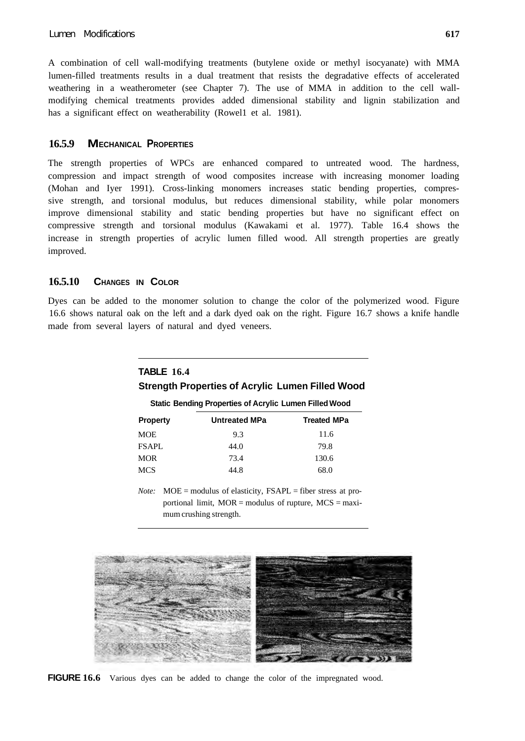<span id="page-18-0"></span>A combination of cell wall-modifying treatments (butylene oxide or methyl isocyanate) with MMA lumen-filled treatments results in a dual treatment that resists the degradative effects of accelerated weathering in a weatherometer (see Chapter 7). The use of MMA in addition to the cell wallmodifying chemical treatments provides added dimensional stability and lignin stabilization and has a significant effect on weatherability (Rowel1 et al. 1981).

#### **16.5.9 MECHANICAL PROPERTIES**

The strength properties of WPCs are enhanced compared to untreated wood. The hardness, compression and impact strength of wood composites increase with increasing monomer loading (Mohan and Iyer 1991). Cross-linking monomers increases static bending properties, compressive strength, and torsional modulus, but reduces dimensional stability, while polar monomers improve dimensional stability and static bending properties but have no significant effect on compressive strength and torsional modulus (Kawakami et al. 1977). Table 16.4 shows the increase in strength properties of acrylic lumen filled wood. All strength properties are greatly improved.

#### **16.5.10 CHANGES IN COLOR**

Dyes can be added to the monomer solution to change the color of the polymerized wood. Figure 16.6 shows natural oak on the left and a dark dyed oak on the right. [Figure 16.7](#page-19-0) shows a knife handle made from several layers of natural and dyed veneers.

#### **TABLE 16.4 Strength Properties of Acrylic Lumen Filled Wood**

|  |  | Static Bending Properties of Acrylic Lumen Filled Wood |
|--|--|--------------------------------------------------------|
|  |  |                                                        |

| <b>Untreated MPa</b> | <b>Treated MPa</b> |
|----------------------|--------------------|
| 93                   | 11.6               |
| 44.0                 | 79.8               |
| 73.4                 | 130.6              |
| 44.8                 | 68.0               |
|                      |                    |

*Note:* MOE = modulus of elasticity, FSAPL = fiber stress at proportional limit,  $MOR =$  modulus of rupture,  $MCS =$  maximum crushing strength.

![](_page_18_Picture_10.jpeg)

**FIGURE 16.6** Various dyes can be added to change the color of the impregnated wood.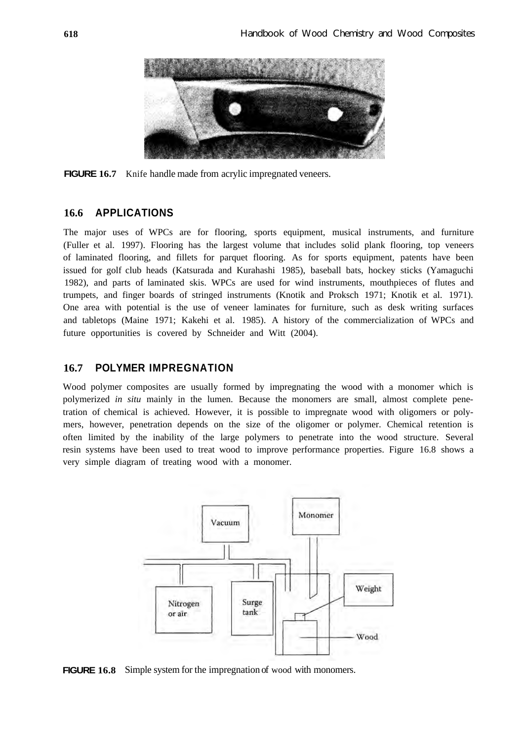<span id="page-19-0"></span>![](_page_19_Picture_1.jpeg)

**FIGURE 16.7** Knife handle made from acrylic impregnated veneers.

#### **16.6 APPLICATIONS**

The major uses of WPCs are for flooring, sports equipment, musical instruments, and furniture (Fuller et al. 1997). Flooring has the largest volume that includes solid plank flooring, top veneers of laminated flooring, and fillets for parquet flooring. As for sports equipment, patents have been issued for golf club heads (Katsurada and Kurahashi 1985), baseball bats, hockey sticks (Yamaguchi 1982), and parts of laminated skis. WPCs are used for wind instruments, mouthpieces of flutes and trumpets, and finger boards of stringed instruments (Knotik and Proksch 1971; Knotik et al. 1971). One area with potential is the use of veneer laminates for furniture, such as desk writing surfaces and tabletops (Maine 1971; Kakehi et al. 1985). A history of the commercialization of WPCs and future opportunities is covered by Schneider and Witt (2004).

#### **16.7 POLYMER IMPREGNATION**

Wood polymer composites are usually formed by impregnating the wood with a monomer which is polymerized *in situ* mainly in the lumen. Because the monomers are small, almost complete penetration of chemical is achieved. However, it is possible to impregnate wood with oligomers or polymers, however, penetration depends on the size of the oligomer or polymer. Chemical retention is often limited by the inability of the large polymers to penetrate into the wood structure. Several resin systems have been used to treat wood to improve performance properties. Figure 16.8 shows a very simple diagram of treating wood with a monomer.

![](_page_19_Figure_7.jpeg)

**FIGURE 16.8** Simple system for the impregnation of wood with monomers.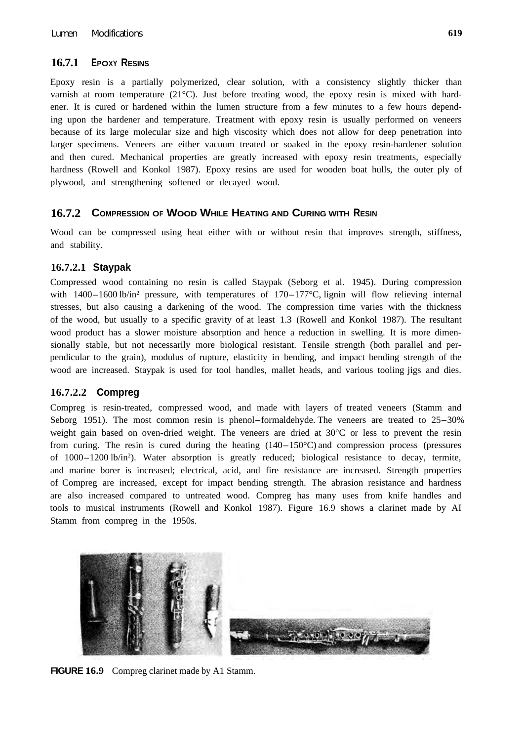#### <span id="page-20-0"></span>**16.7.1 EPOXY RESINS**

Epoxy resin is a partially polymerized, clear solution, with a consistency slightly thicker than varnish at room temperature (21°C). Just before treating wood, the epoxy resin is mixed with hardener. It is cured or hardened within the lumen structure from a few minutes to a few hours depending upon the hardener and temperature. Treatment with epoxy resin is usually performed on veneers because of its large molecular size and high viscosity which does not allow for deep penetration into larger specimens. Veneers are either vacuum treated or soaked in the epoxy resin-hardener solution and then cured. Mechanical properties are greatly increased with epoxy resin treatments, especially hardness (Rowell and Konkol 1987). Epoxy resins are used for wooden boat hulls, the outer ply of plywood, and strengthening softened or decayed wood.

#### **16.7.2 COMPRESSION OF WOOD WHILE HEATING AND CURING WITH RESIN**

Wood can be compressed using heat either with or without resin that improves strength, stiffness, and stability.

#### **16.7.2.1 Staypak**

Compressed wood containing no resin is called Staypak (Seborg et al. 1945). During compression with  $1400-1600$  lb/in<sup>2</sup> pressure, with temperatures of  $170-177^{\circ}$ C, lignin will flow relieving internal stresses, but also causing a darkening of the wood. The compression time varies with the thickness of the wood, but usually to a specific gravity of at least 1.3 (Rowell and Konkol 1987). The resultant wood product has a slower moisture absorption and hence a reduction in swelling. It is more dimensionally stable, but not necessarily more biological resistant. Tensile strength (both parallel and perpendicular to the grain), modulus of rupture, elasticity in bending, and impact bending strength of the wood are increased. Staypak is used for tool handles, mallet heads, and various tooling jigs and dies.

#### **16.7.2.2 Compreg**

Compreg is resin-treated, compressed wood, and made with layers of treated veneers (Stamm and Seborg 1951). The most common resin is phenol-formaldehyde. The veneers are treated to  $25-30\%$ weight gain based on oven-dried weight. The veneers are dried at 30°C or less to prevent the resin from curing. The resin is cured during the heating  $(140-150^{\circ}C)$  and compression process (pressures nom curing. The resin is cured during the heating (140–150 C) and compression process (pressures of 1000–1200 lb/in<sup>2</sup>). Water absorption is greatly reduced; biological resistance to decay, termite, and marine borer is increased; electrical, acid, and fire resistance are increased. Strength properties of Compreg are increased, except for impact bending strength. The abrasion resistance and hardness are also increased compared to untreated wood. Compreg has many uses from knife handles and tools to musical instruments (Rowell and Konkol 1987). Figure 16.9 shows a clarinet made by AI Stamm from compreg in the 1950s.

![](_page_20_Picture_10.jpeg)

**FIGURE 16.9** Compreg clarinet made by A1 Stamm.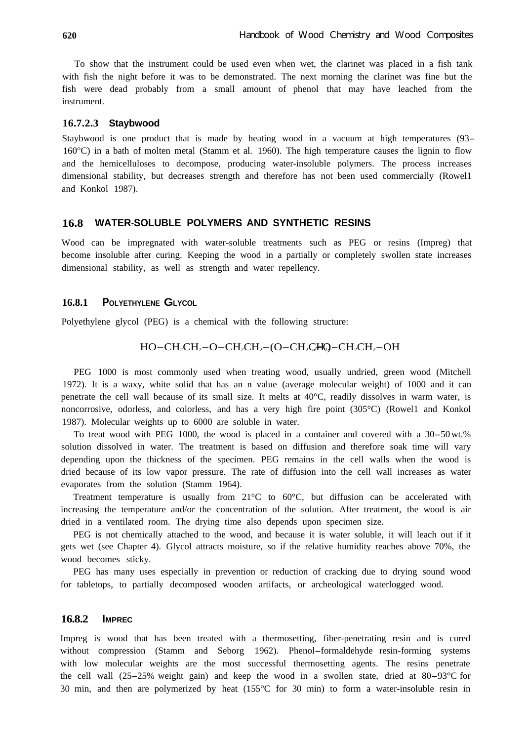<span id="page-21-0"></span>To show that the instrument could be used even when wet, the clarinet was placed in a fish tank with fish the night before it was to be demonstrated. The next morning the clarinet was fine but the fish were dead probably from a small amount of phenol that may have leached from the instrument.

#### **16.7.2.3 Staybwood**

Staybwood is one product that is made by heating wood in a vacuum at high temperatures (93 160°C) in a bath of molten metal (Stamm et al. 1960). The high temperature causes the lignin to flow and the hemicelluloses to decompose, producing water-insoluble polymers. The process increases dimensional stability, but decreases strength and therefore has not been used commercially (Rowel1 and Konkol 1987).

#### **16.8 WATER-SOLUBLE POLYMERS AND SYNTHETIC RESINS**

Wood can be impregnated with water-soluble treatments such as PEG or resins (Impreg) that become insoluble after curing. Keeping the wood in a partially or completely swollen state increases dimensional stability, as well as strength and water repellency.

#### **16.8.1 POLYETHYLENE GLYCOL**

Polyethylene glycol (PEG) is a chemical with the following structure:

#### HO-CH<sub>2</sub>CH<sub>2</sub>-O-CH<sub>2</sub>CH<sub>2</sub>-(O-CH<sub>2</sub>CHQ-CH<sub>2</sub>CH<sub>2</sub>-OH

PEG 1000 is most commonly used when treating wood, usually undried, green wood (Mitchell 1972). It is a waxy, white solid that has an n value (average molecular weight) of 1000 and it can penetrate the cell wall because of its small size. It melts at 40°C, readily dissolves in warm water, is noncorrosive, odorless, and colorless, and has a very high fire point (305°C) (Rowel1 and Konkol 1987). Molecular weights up to 6000 are soluble in water.

To treat wood with PEG 1000, the wood is placed in a container and covered with a 30-50 wt.% solution dissolved in water. The treatment is based on diffusion and therefore soak time will vary depending upon the thickness of the specimen. PEG remains in the cell walls when the wood is dried because of its low vapor pressure. The rate of diffusion into the cell wall increases as water evaporates from the solution (Stamm 1964).

Treatment temperature is usually from 21°C to 60°C, but diffusion can be accelerated with increasing the temperature and/or the concentration of the solution. After treatment, the wood is air dried in a ventilated room. The drying time also depends upon specimen size.

PEG is not chemically attached to the wood, and because it is water soluble, it will leach out if it gets wet (see Chapter 4). Glycol attracts moisture, so if the relative humidity reaches above 70%, the wood becomes sticky.

PEG has many uses especially in prevention or reduction of cracking due to drying sound wood for tabletops, to partially decomposed wooden artifacts, or archeological waterlogged wood.

#### **16.8.2 IMPREC**

Impreg is wood that has been treated with a thermosetting, fiber-penetrating resin and is cured without compression (Stamm and Seborg 1962). Phenol-formaldehyde resin-forming systems with low molecular weights are the most successful thermosetting agents. The resins penetrate the cell wall  $(25-25\%$  weight gain) and keep the wood in a swollen state, dried at  $80-93\degree$ C for 30 min, and then are polymerized by heat (155°C for 30 min) to form a water-insoluble resin in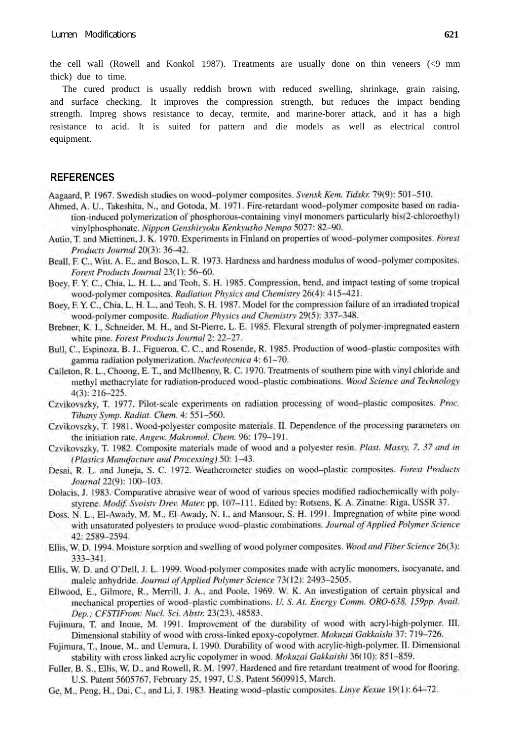<span id="page-22-0"></span>the cell wall (Rowell and Konkol 1987). Treatments are usually done on thin veneers  $\langle \langle 9 \rangle$  mm thick) due to time.

The cured product is usually reddish brown with reduced swelling, shrinkage, grain raising, and surface checking. It improves the compression strength, but reduces the impact bending strength. Impreg shows resistance to decay, termite, and marine-borer attack, and it has a high resistance to acid. It is suited for pattern and die models as well as electrical control equipment.

#### **REFERENCES**

Aagaard, P. 1967. Swedish studies on wood-polymer composites. Svensk Kem. Tidskr. 79(9): 501-510.

- Ahmed, A. U., Takeshita, N., and Gotoda, M. 1971. Fire-retardant wood-polymer composite based on radiation-induced polymerization of phosphorous-containing vinyl monomers particularly bis(2-chloroethyl) vinylphosphonate. Nippon Genshiryoku Kenkyusho Nempo 5027: 82-90.
- Autio, T. and Miettinen, J. K. 1970. Experiments in Finland on properties of wood-polymer composites. Forest Products Journal 20(3): 36-42.
- Beall, F. C., Witt. A. E., and Bosco, L. R. 1973. Hardness and hardness modulus of wood-polymer composites. Forest Products Journal 23(1): 56-60.
- Boey, F. Y. C., Chia, L. H. L., and Teoh, S. H. 1985. Compression, bend, and impact testing of some tropical wood-polymer composites. Radiation Physics and Chemistry 26(4): 415-421.
- Boey, F.Y. C., Chia, L. H. L., and Teoh, S. H. 1987. Model for the compression failure of an irradiated tropical wood-polymer composite. Radiation Physics and Chemistry 29(5): 337-348.
- Brebner, K. I., Schneider, M. H., and St-Pierre, L. E. 1985. Flexural strength of polymer-impregnated eastern white pine. Forest Products Journal 2: 22-27.
- Bull, C., Espinoza, B. J., Figueroa, C. C., and Rosende, R. 1985. Production of wood-plastic composites with gamma radiation polymerization. Nucleotecnica 4: 61-70.
- Calleton, R. L., Choong, E. T., and McIlhenny, R. C. 1970. Treatments of southern pine with vinyl chloride and methyl methacrylate for radiation-produced wood-plastic combinations. Wood Science and Technology 4(3): 216-225.
- Czvikovszky, T. 1977. Pilot-scale experiments on radiation processing of wood-plastic composites. Proc. Tihany Symp. Radiat. Chem. 4: 551-560.
- Czvikovszky, T. 1981. Wood-polyester composite materials. II. Dependence of the processing parameters on the initiation rate. Angew. Makromol. Chem. 96: 179-191.
- Czvikovszky, T. 1982. Composite materials made of wood and a polyester resin. Plast. Massy. 7, 37 and in (Plastics Manufacture and Processing) 50: 1-43.
- Desai, R. L. and Juneja, S. C. 1972. Weatherometer studies on wood-plastic composites. Forest Products Journal 22(9): 100-103.
- Dolacis, J. 1983. Comparative abrasive wear of wood of various species modified radiochemically with polystyrene. Modif. Svoisty Drev. Mater. pp. 107-111. Edited by: Rotsens, K. A. Zinatne: Riga, USSR 37.
- Doss, N. L., El-Awady, M. M., El-Awady, N. I., and Mansour, S. H. 1991. Impregnation of white pine wood with unsaturated polyesters to produce wood-plastic combinations. Journal of Applied Polymer Science 42: 2589-2594.
- Ellis, W. D. 1994. Moisture sorption and swelling of wood polymer composites. Wood and Fiber Science 26(3):  $333 - 341$ .
- Ellis, W. D. and O'Dell, J. L. 1999. Wood-polymer composites made with acrylic monomers, isocyanate, and maleic anhydride. Journal of Applied Polymer Science 73(12): 2493-2505.
- Ellwood, E., Gilmore, R., Merrill, J. A., and Poole, 1969. W. K. An investigation of certain physical and mechanical properties of wood-plastic combinations. U. S. At. Energy Comm. ORO-638, 159pp. Avail. Dep.; CFSTIFrom: Nucl. Sci. Abstr. 23(23), 48583.
- Fujimura, T. and Inoue, M. 1991. Improvement of the durability of wood with acryl-high-polymer. III. Dimensional stability of wood with cross-linked epoxy-copolymer. Mokuzai Gakkaishi 37: 719-726.
- Fujimura, T., Inoue, M., and Uemura, I. 1990. Durability of wood with acrylic-high-polymer. II. Dimensional stability with cross linked acrylic copolymer in wood. Mokuzai Gakkaishi 36(10): 851-859.
- Fuller, B. S., Ellis, W. D., and Rowell, R. M. 1997. Hardened and fire retardant treatment of wood for flooring. U.S. Patent 5605767, February 25, 1997, U.S. Patent 5609915, March.
- Ge, M., Peng, H., Dai, C., and Li, J. 1983. Heating wood-plastic composites. Linye Kexue 19(1): 64-72.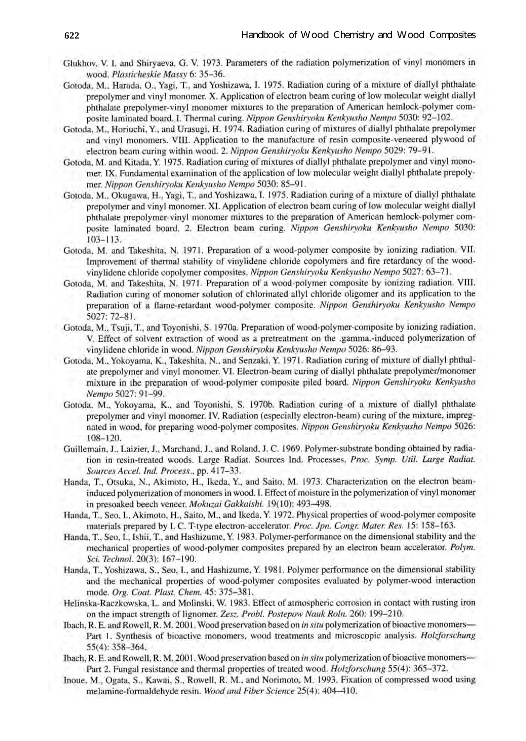- Glukhov, V. I. and Shiryaeva, G. V. 1973. Parameters of the radiation polymerization of vinyl monomers in wood. Plasticheskie Massy 6: 35-36.
- Gotoda, M., Harada, O., Yagi, T., and Yoshizawa, J. 1975. Radiation curing of a mixture of diallyl phthalate prepolymer and vinyl monomer. X. Application of electron beam curing of low molecular weight diallyl phthalate prepolymer-vinyl monomer mixtures to the preparation of American hemlock-polymer composite laminated board. I. Thermal curing. Nippon Genshirvoku Kenkyusho Nempo 5030: 92-102.
- Gotoda, M., Horiuchi, Y., and Urasugi, H. 1974. Radiation curing of mixtures of diallyl phthalate prepolymer and vinyl monomers. VIII. Application to the manufacture of resin composite-veneered plywood of electron beam curing within wood, 2. Nippon Genshirvoku Kenkyusho Nempo 5029: 79-91.
- Gotoda, M. and Kitada, Y. 1975. Radiation curing of mixtures of diallyl phthalate prepolymer and vinyl monomer. IX. Fundamental examination of the application of low molecular weight diallyl phthalate prepolymer. Nippon Genshirvoku Kenkyusho Nempo 5030: 85-91.
- Gotoda, M., Okugawa, H., Yagi, T., and Yoshizawa, I. 1975. Radiation curing of a mixture of diallyl phthalate prepolymer and vinyl monomer. XI. Application of electron beam curing of low molecular weight diallyl phthalate prepolymer-vinyl monomer mixtures to the preparation of American hemlock-polymer composite laminated board, 2. Electron beam curing. Nippon Genshiryoku Kenkvusho Nempo 5030:  $103 - 113$ .
- Gotoda, M. and Takeshita, N. 1971. Preparation of a wood-polymer composite by ionizing radiation. VII. Improvement of thermal stability of vinylidene chloride copolymers and fire retardancy of the woodvinvlidene chloride copolymer composites. Nippon Genshiryoku Kenkyusho Nempo 5027: 63-71.
- Gotoda, M. and Takeshita, N. 1971. Preparation of a wood-polymer composite by ionizing radiation. VIII. Radiation curing of monomer solution of chlorinated allyl chloride oligomer and its application to the preparation of a flame-retardant wood-polymer composite. Nippon Genshiryoku Kenkyusho Nempo 5027: 72-81.
- Gotoda, M., Tsuji, T., and Toyonishi, S. 1970a. Preparation of wood-polymer-composite by ionizing radiation. V. Effect of solvent extraction of wood as a pretreatment on the .gamma.-induced polymerization of vinylidene chloride in wood. Nippon Genshiryoku Kenkyusho Nempo 5026: 86-93.
- Gotoda, M., Yokoyama, K., Takeshita, N., and Senzaki, Y. 1971. Radiation curing of mixture of diallyl phthalate prepolymer and vinyl monomer. VI. Electron-beam curing of diallyl phthalate prepolymer/monomer mixture in the preparation of wood-polymer composite piled board. Nippon Genshiryoku Kenkyusho Nempo 5027: 91-99.
- Gotoda, M., Yokoyama, K., and Toyonishi, S. 1970b. Radiation curing of a mixture of diallyl phthalate prepolymer and vinyl monomer. IV. Radiation (especially electron-beam) curing of the mixture, impregnated in wood, for preparing wood-polymer composites. Nippon Genshiryoku Kenkyusho Nempo 5026:  $108 - 120.$
- Guillemain, J., Laizier, J., Marchand, J., and Roland, J. C. 1969. Polymer-substrate bonding obtained by radiation in resin-treated woods. Large Radiat. Sources Ind. Processes, Proc. Symp. Util. Large Radiat. Sources Accel. Ind. Process., pp. 417-33.
- Handa, T., Otsuka, N., Akimoto, H., Ikeda, Y., and Saito, M. 1973. Characterization on the electron beaminduced polymerization of monomers in wood. I. Effect of moisture in the polymerization of vinyl monomer in presoaked beech veneer. Mokuzai Gakkaishi. 19(10): 493-498.
- Handa, T., Seo, L., Akimoto, H., Saito, M., and Ikeda, Y. 1972. Physical properties of wood-polymer composite materials prepared by I. C. T-type electron-accelerator. Proc. Jpn. Congr. Mater. Res. 15: 158-163.
- Handa, T., Seo, I., Ishii, T., and Hashizume, Y. 1983. Polymer-performance on the dimensional stability and the mechanical properties of wood-polymer composites prepared by an electron beam accelerator. Polym. Sci. Technol. 20(3): 167-190.
- Handa, T., Yoshizawa, S., Seo, I., and Hashizume, Y. 1981. Polymer performance on the dimensional stability and the mechanical properties of wood-polymer composites evaluated by polymer-wood interaction mode. Org. Coat. Plast. Chem. 45: 375-381.
- Helinska-Raczkowska, L. and Molinski, W. 1983. Effect of atmospheric corrosion in contact with rusting iron on the impact strength of lignomer. Zesz. Probl. Postepow Nauk Roln. 260: 199-210.
- Ibach, R. E. and Rowell, R. M. 2001. Wood preservation based on in situ polymerization of bioactive monomers-Part 1. Synthesis of bioactive monomers, wood treatments and microscopic analysis. Holzforschung 55(4): 358-364.
- Ibach, R. E. and Rowell, R. M. 2001. Wood preservation based on in situ polymerization of bioactive monomers— Part 2. Fungal resistance and thermal properties of treated wood. *Holzforschung* 55(4): 365–372.
- Inoue, M., Ogata, S., Kawai, S., Rowell, R. M., and Norimoto, M. 1993. Fixation of compressed wood using melamine-formaldehyde resin. Wood and Fiber Science 25(4): 404-410.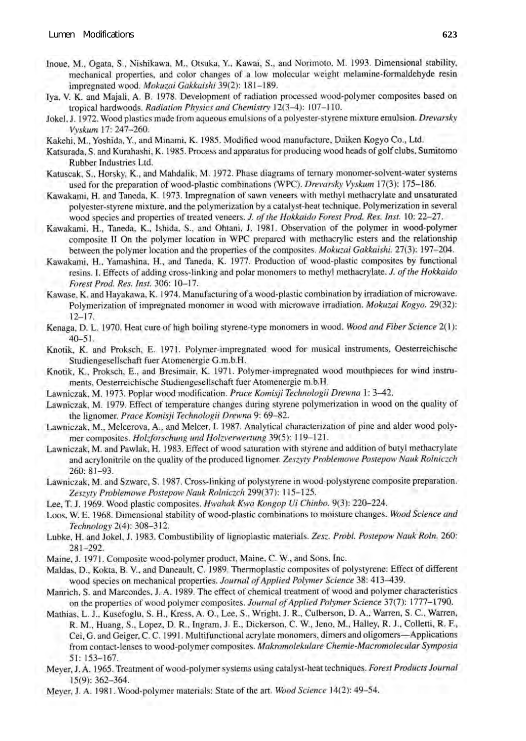- Inoue, M., Ogata, S., Nishikawa, M., Otsuka, Y., Kawai, S., and Norimoto, M. 1993. Dimensional stability, mechanical properties, and color changes of a low molecular weight melamine-formaldehyde resin impregnated wood. Mokuzai Gakkaishi 39(2): 181-189.
- Iya, V. K. and Majali, A. B. 1978. Development of radiation processed wood-polymer composites based on tropical hardwoods. Radiation Physics and Chemistry 12(3-4): 107-110.
- Jokel, J. 1972. Wood plastics made from aqueous emulsions of a polyester-styrene mixture emulsion. Drevarsky Vyskum 17: 247-260.
- Kakehi, M., Yoshida, Y., and Minami, K. 1985. Modified wood manufacture, Daiken Kogyo Co., Ltd.
- Katsurada, S. and Kurahashi, K. 1985. Process and apparatus for producing wood heads of golf clubs, Sumitomo Rubber Industries Ltd.
- Katuscak, S., Horsky, K., and Mahdalik, M. 1972. Phase diagrams of ternary monomer-solvent-water systems used for the preparation of wood-plastic combinations (WPC). Drevarsky Vyskum 17(3): 175–186.
- Kawakami, H. and Taneda, K. 1973. Impregnation of sawn veneers with methyl methacrylate and unsaturated polyester-styrene mixture, and the polymerization by a catalyst-heat technique. Polymerization in several wood species and properties of treated veneers. J. of the Hokkaido Forest Prod. Res. Inst. 10: 22-27.
- Kawakami, H., Taneda, K., Ishida, S., and Ohtani, J. 1981. Observation of the polymer in wood-polymer composite II On the polymer location in WPC prepared with methacrylic esters and the relationship between the polymer location and the properties of the composites. Mokuzai Gakkaishi. 27(3): 197-204.
- Kawakami, H., Yamashina, H., and Taneda, K. 1977. Production of wood-plastic composites by functional resins. I. Effects of adding cross-linking and polar monomers to methyl methacrylate. J. of the Hokkaido Forest Prod. Res. Inst. 306: 10-17.
- Kawase, K. and Hayakawa, K. 1974. Manufacturing of a wood-plastic combination by irradiation of microwave. Polymerization of impregnated monomer in wood with microwave irradiation. Mokuzai Kogyo. 29(32):  $12 - 17$ .
- Kenaga, D. L. 1970. Heat cure of high boiling styrene-type monomers in wood. Wood and Fiber Science 2(1):  $40 - 51$ .
- Knotik, K. and Proksch, E. 1971. Polymer-impregnated wood for musical instruments, Oesterreichische Studiengesellschaft fuer Atomenergie G.m.b.H.
- Knotik, K., Proksch, E., and Bresimair, K. 1971. Polymer-impregnated wood mouthpieces for wind instruments, Oesterreichische Studiengesellschaft fuer Atomenergie m.b.H.
- Lawniczak, M. 1973. Poplar wood modification. Prace Komisji Technologii Drewna 1: 3-42.
- Lawniczak, M. 1979. Effect of temperature changes during styrene polymerization in wood on the quality of the lignomer. Prace Komisji Technologii Drewna 9: 69-82.
- Lawniczak, M., Melcerova, A., and Melcer, I. 1987. Analytical characterization of pine and alder wood polymer composites. Holzforschung und Holzverwertung 39(5): 119-121.
- Lawniczak, M. and Pawlak, H. 1983. Effect of wood saturation with styrene and addition of butyl methacrylate and acrylonitrile on the quality of the produced lignomer. Zeszyty Problemowe Postepow Nauk Rolniczch  $260: 81 - 93.$
- Lawniczak, M. and Szwarc, S. 1987. Cross-linking of polystyrene in wood-polystyrene composite preparation. Zeszyty Problemowe Postepow Nauk Rolniczch 299(37): 115-125.
- Lee, T. J. 1969. Wood plastic composites. Hwahak Kwa Kongop Ui Chinbo. 9(3): 220-224.
- Loos, W. E. 1968. Dimensional stability of wood-plastic combinations to moisture changes. Wood Science and Technology 2(4): 308-312.
- Lubke, H. and Jokel, J. 1983. Combustibility of lignoplastic materials. Zesz. Probl. Postepow Nauk Roln. 260:  $281 - 292.$
- Maine, J. 1971. Composite wood-polymer product, Maine, C. W., and Sons. Inc.
- Maldas, D., Kokta, B. V., and Daneault, C. 1989. Thermoplastic composites of polystyrene: Effect of different wood species on mechanical properties. Journal of Applied Polymer Science 38: 413-439.
- Manrich, S. and Marcondes, J. A. 1989. The effect of chemical treatment of wood and polymer characteristics on the properties of wood polymer composites. Journal of Applied Polymer Science 37(7): 1777–1790.
- Mathias, L. J., Kusefoglu, S. H., Kress, A. O., Lee, S., Wright, J. R., Culberson, D. A., Warren, S. C., Warren, R. M., Huang, S., Lopez, D. R., Ingram, J. E., Dickerson, C. W., Jeno, M., Halley, R. J., Colletti, R. F., Cei, G. and Geiger, C. C. 1991. Multifunctional acrylate monomers, dimers and oligomers—Applications from contact-lenses to wood-polymer composites. Makromolekulare Chemie-Macromolecular Symposia 51: 153-167.
- Meyer, J. A. 1965. Treatment of wood-polymer systems using catalyst-heat techniques. Forest Products Journal 15(9): 362-364.
- Meyer, J. A. 1981. Wood-polymer materials: State of the art. Wood Science 14(2): 49–54.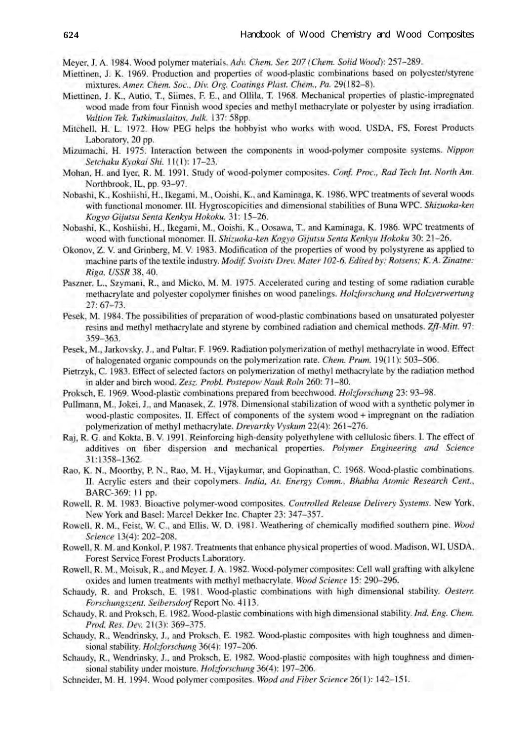Meyer, J. A. 1984. Wood polymer materials. Adv. Chem. Ser. 207 (Chem. Solid Wood): 257-289.

- Miettinen, J. K. 1969. Production and properties of wood-plastic combinations based on polyester/styrene mixtures. Amer. Chem. Soc., Div. Org. Coatings Plast. Chem., Pa. 29(182-8).
- Miettinen, J. K., Autio, T., Siimes, F. E., and Ollila, T. 1968. Mechanical properties of plastic-impregnated wood made from four Finnish wood species and methyl methacrylate or polyester by using irradiation. Valtion Tek. Tutkimuslaitos, Julk. 137: 58pp.
- Mitchell, H. L. 1972. How PEG helps the hobbyist who works with wood. USDA, FS, Forest Products Laboratory, 20 pp.
- Mizumachi, H. 1975. Interaction between the components in wood-polymer composite systems. Nippon Setchaku Kyokai Shi. 11(1): 17-23.
- Mohan, H. and Iver, R. M. 1991. Study of wood-polymer composites. Conf. Proc., Rad Tech Int. North Am. Northbrook, IL, pp. 93-97.
- Nobashi, K., Koshiishi, H., Ikegami, M., Ooishi, K., and Kaminaga, K. 1986. WPC treatments of several woods with functional monomer. III. Hygroscopicities and dimensional stabilities of Buna WPC. Shizuoka-ken Kogyo Gijutsu Senta Kenkyu Hokoku. 31: 15-26.
- Nobashi, K., Koshiishi, H., Ikegami, M., Ooishi, K., Oosawa, T., and Kaminaga, K. 1986. WPC treatments of wood with functional monomer. II. Shizuoka-ken Kogyo Gijutsu Senta Kenkvu Hokoku 30: 21-26.
- Okonov, Z. V. and Grinberg, M. V. 1983. Modification of the properties of wood by polystyrene as applied to machine parts of the textile industry. Modif. Syoisty Drey. Mater 102-6. Edited by: Rotsens; K. A. Zinatne: Riga, USSR 38, 40.
- Paszner, L., Szymani, R., and Micko, M. M. 1975. Accelerated curing and testing of some radiation curable methacrylate and polyester copolymer finishes on wood panelings. Holzforschung und Holzverwertung  $27:67 - 73.$
- Pesek, M. 1984. The possibilities of preparation of wood-plastic combinations based on unsaturated polyester resins and methyl methacrylate and styrene by combined radiation and chemical methods. ZfI-Mitt. 97: 359-363.
- Pesek, M., Jarkovsky, J., and Pultar, F. 1969. Radiation polymerization of methyl methacrylate in wood. Effect of halogenated organic compounds on the polymerization rate. Chem. Prum. 19(11): 503-506.
- Pietrzyk, C. 1983. Effect of selected factors on polymerization of methyl methacrylate by the radiation method in alder and birch wood. Zesz. Probl. Postepow Nauk Roln 260: 71-80.
- Proksch, E. 1969. Wood-plastic combinations prepared from beechwood. Holzforschung 23: 93-98.
- Pullmann, M., Jokei, J., and Manasek, Z. 1978. Dimensional stabilization of wood with a synthetic polymer in wood-plastic composites. II. Effect of components of the system wood + impregnant on the radiation polymerization of methyl methacrylate. Drevarsky Vyskum 22(4): 261-276.
- Raj, R. G. and Kokta, B. V. 1991. Reinforcing high-density polyethylene with cellulosic fibers. I. The effect of additives on fiber dispersion and mechanical properties. Polymer Engineering and Science 31:1358-1362.
- Rao, K. N., Moorthy, P. N., Rao, M. H., Vijaykumar, and Gopinathan, C. 1968. Wood-plastic combinations. II. Acrylic esters and their copolymers. India, At. Energy Comm., Bhabha Atomic Research Cent., BARC-369: 11 pp.
- Rowell, R. M. 1983. Bioactive polymer-wood composites. Controlled Release Delivery Systems. New York, New York and Basel: Marcel Dekker Inc. Chapter 23: 347-357.
- Rowell, R. M., Feist, W. C., and Ellis, W. D. 1981. Weathering of chemically modified southern pine. Wood Science 13(4): 202-208.
- Rowell, R. M. and Konkol, P. 1987. Treatments that enhance physical properties of wood. Madison, WI, USDA, Forest Service Forest Products Laboratory.
- Rowell, R. M., Moisuk, R., and Meyer, J. A. 1982. Wood-polymer composites: Cell wall grafting with alkylene oxides and lumen treatments with methyl methacrylate. Wood Science 15: 290-296.
- Schaudy, R. and Proksch, E. 1981. Wood-plastic combinations with high dimensional stability. Oesterr. Forschungszent. Seibersdorf Report No. 4113.
- Schaudy, R. and Proksch, E. 1982. Wood-plastic combinations with high dimensional stability. Ind. Eng. Chem. Prod. Res. Dev. 21(3): 369-375.
- Schaudy, R., Wendrinsky, J., and Proksch, E. 1982. Wood-plastic composites with high toughness and dimensional stability. Holzforschung 36(4): 197-206.
- Schaudy, R., Wendrinsky, J., and Proksch, E. 1982. Wood-plastic composites with high toughness and dimensional stability under moisture. Holzforschung 36(4): 197-206.
- Schneider, M. H. 1994. Wood polymer composites. Wood and Fiber Science 26(1): 142-151.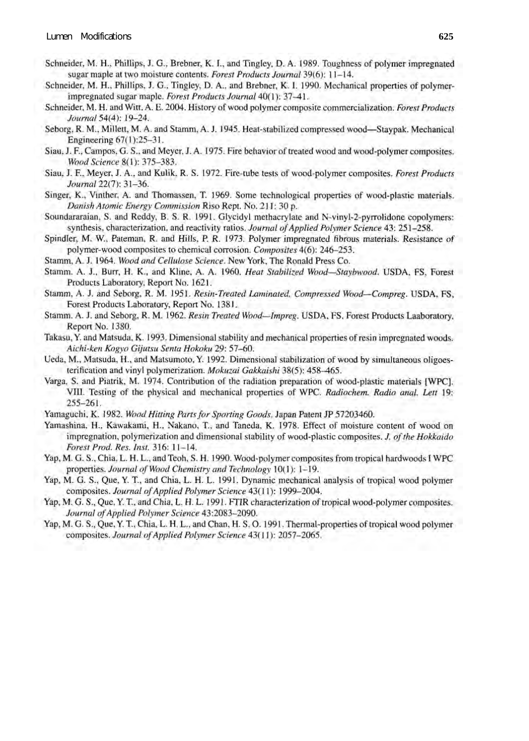- Schneider, M. H., Phillips, J. G., Brebner, K. I., and Tingley, D. A. 1989. Toughness of polymer impregnated sugar maple at two moisture contents. Forest Products Journal 39(6): 11-14.
- Schneider, M. H., Phillips, J. G., Tingley, D. A., and Brebner, K. I. 1990. Mechanical properties of polymerimpregnated sugar maple. Forest Products Journal 40(1): 37-41.
- Schneider, M. H. and Witt, A. E. 2004. History of wood polymer composite commercialization. Forest Products Journal 54(4): 19-24.
- Seborg, R. M., Millett, M. A. and Stamm, A. J. 1945. Heat-stabilized compressed wood—Staypak. Mechanical Engineering 67(1):25-31.
- Siau, J. F., Campos, G. S., and Meyer, J. A. 1975. Fire behavior of treated wood and wood-polymer composites. Wood Science 8(1): 375-383.
- Siau, J. F., Meyer, J. A., and Kulik, R. S. 1972. Fire-tube tests of wood-polymer composites. Forest Products Journal 22(7): 31-36.
- Singer, K., Vinther, A. and Thomassen, T. 1969. Some technological properties of wood-plastic materials. Danish Atomic Energy Commission Riso Rept. No. 211: 30 p.
- Soundararaian, S. and Reddy, B. S. R. 1991. Glycidyl methacrylate and N-vinyl-2-pyrrolidone copolymers: synthesis, characterization, and reactivity ratios. Journal of Applied Polymer Science 43: 251-258.
- Spindler, M. W., Pateman, R. and Hills, P. R. 1973. Polymer impregnated fibrous materials. Resistance of polymer-wood composites to chemical corrosion. Composites 4(6): 246-253.
- Stamm, A. J. 1964. Wood and Cellulose Science. New York, The Ronald Press Co.
- Stamm. A. J., Burr, H. K., and Kline, A. A. 1960. Heat Stabilized Wood-Staybwood. USDA, FS, Forest Products Laboratory, Report No. 1621.
- Stamm, A. J. and Seborg, R. M. 1951. Resin-Treated Laminated. Compressed Wood-Compreg. USDA, FS. Forest Products Laboratory, Report No. 1381.
- Stamm. A. J. and Seborg, R. M. 1962. Resin Treated Wood-Impreg. USDA, FS, Forest Products Laaboratory, Report No. 1380.
- Takasu, Y. and Matsuda, K. 1993. Dimensional stability and mechanical properties of resin impregnated woods. Aichi-ken Kogyo Gijutsu Senta Hokoku 29: 57-60.
- Ueda, M., Matsuda, H., and Matsumoto, Y. 1992. Dimensional stabilization of wood by simultaneous oligoesterification and vinyl polymerization. Mokuzai Gakkaishi 38(5): 458-465.
- Varga, S. and Piatrik, M. 1974. Contribution of the radiation preparation of wood-plastic materials [WPC]. VIII. Testing of the physical and mechanical properties of WPC. Radiochem. Radio anal. Lett 19:  $255 - 261$ .
- Yamaguchi, K. 1982. Wood Hitting Parts for Sporting Goods. Japan Patent JP 57203460.
- Yamashina, H., Kawakami, H., Nakano, T., and Taneda, K. 1978. Effect of moisture content of wood on impregnation, polymerization and dimensional stability of wood-plastic composites. J. of the Hokkaido Forest Prod. Res. Inst. 316: 11-14.
- Yap, M. G. S., Chia, L. H. L., and Teoh, S. H. 1990. Wood-polymer composites from tropical hardwoods I WPC properties. Journal of Wood Chemistry and Technology 10(1): 1-19.
- Yap, M. G. S., Que, Y. T., and Chia, L. H. L. 1991. Dynamic mechanical analysis of tropical wood polymer composites. Journal of Applied Polymer Science 43(11): 1999–2004.
- Yap, M. G. S., Que, Y. T., and Chia, L. H. L. 1991. FTIR characterization of tropical wood-polymer composites. Journal of Applied Polymer Science 43:2083-2090.
- Yap, M. G. S., Que, Y. T., Chia, L. H. L., and Chan, H. S. O. 1991. Thermal-properties of tropical wood polymer composites. Journal of Applied Polymer Science 43(11): 2057-2065.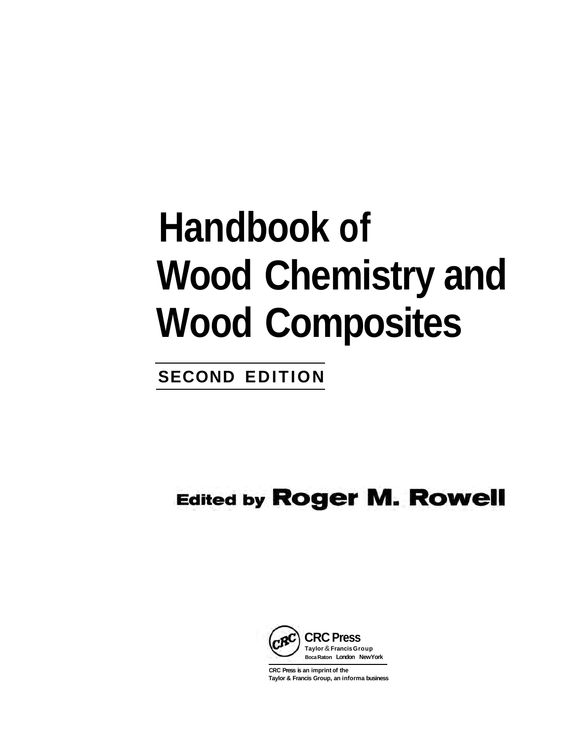# **Handbook of Wood Chemistry and Wood Composites**

# **SECOND EDITION**

**Edited by Roger M. Rowell** 

![](_page_27_Picture_3.jpeg)

**CRC Press is an imprint of the Taylor & Francis Group, an informa business**